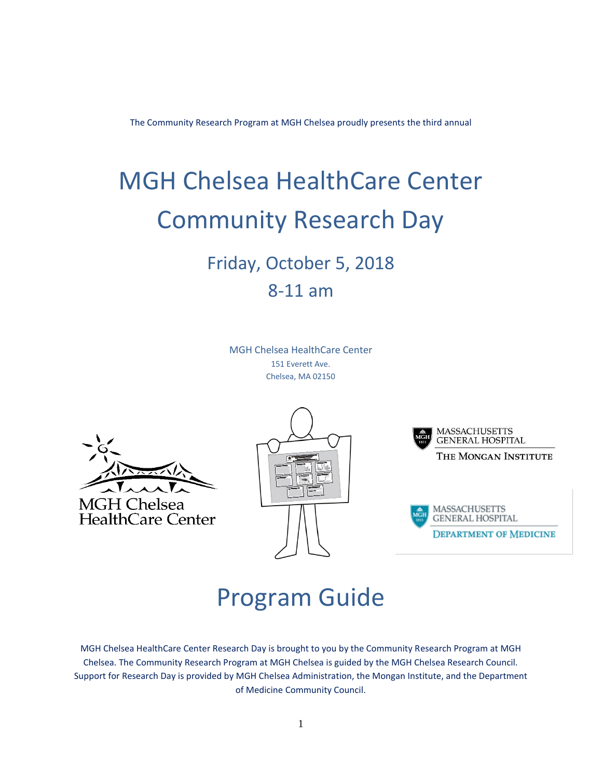The Community Research Program at MGH Chelsea proudly presents the third annual

# MGH Chelsea HealthCare Center Community Research Day

# Friday, October 5, 2018 8-11 am

MGH Chelsea HealthCare Center 151 Everett Ave. Chelsea, MA 02150









# Program Guide

MGH Chelsea HealthCare Center Research Day is brought to you by the Community Research Program at MGH Chelsea. The Community Research Program at MGH Chelsea is guided by the MGH Chelsea Research Council. Support for Research Day is provided by MGH Chelsea Administration, the Mongan Institute, and the Department of Medicine Community Council.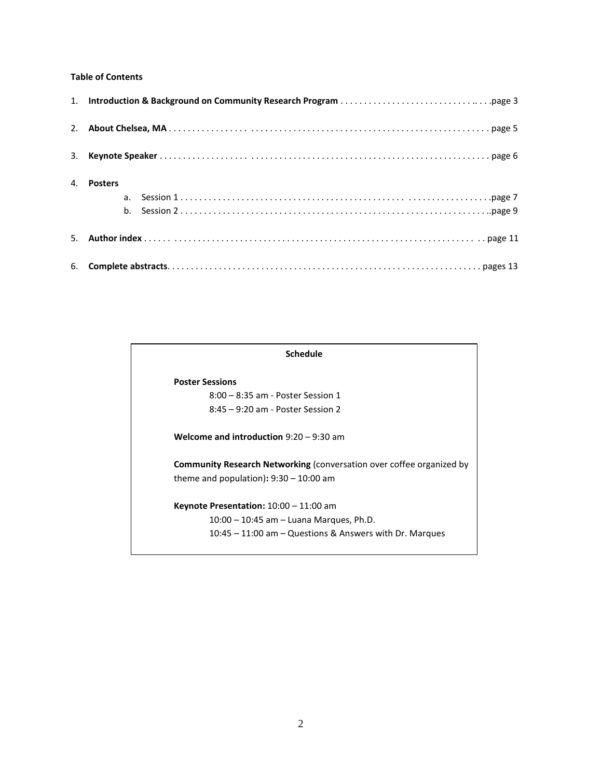# **Table of Contents**

| 4. Posters |
|------------|
|            |
|            |
|            |

#### **Schedule**

#### **Poster Sessions**

8:00 – 8:35 am - Poster Session 1 8:45 – 9:20 am - Poster Session 2

**Welcome and introduction** 9:20 – 9:30 am

**Community Research Networking** (conversation over coffee organized by theme and population)**:** 9:30 – 10:00 am

**Keynote Presentation:** 10:00 – 11:00 am 10:00 – 10:45 am – Luana Marques, Ph.D. 10:45 – 11:00 am – Questions & Answers with Dr. Marques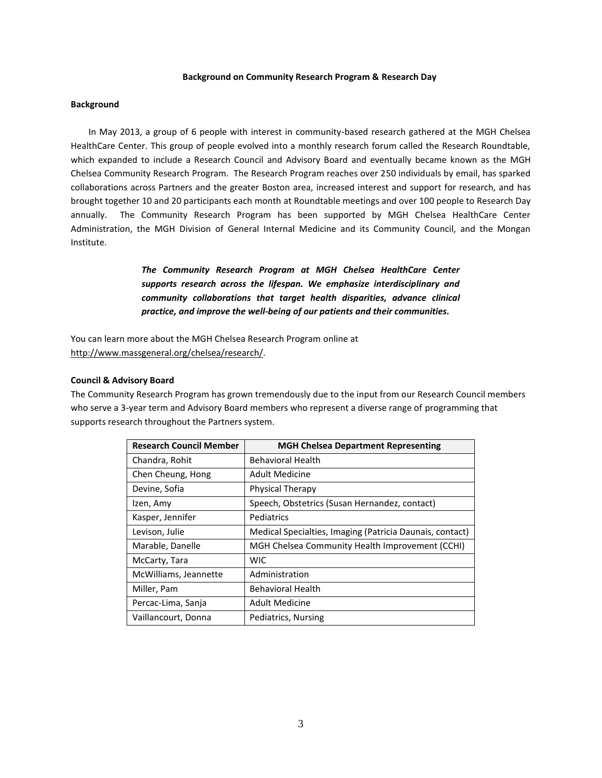#### **Background on Community Research Program & Research Day**

#### **Background**

In May 2013, a group of 6 people with interest in community-based research gathered at the MGH Chelsea HealthCare Center. This group of people evolved into a monthly research forum called the Research Roundtable, which expanded to include a Research Council and Advisory Board and eventually became known as the MGH Chelsea Community Research Program. The Research Program reaches over 250 individuals by email, has sparked collaborations across Partners and the greater Boston area, increased interest and support for research, and has brought together 10 and 20 participants each month at Roundtable meetings and over 100 people to Research Day annually. The Community Research Program has been supported by MGH Chelsea HealthCare Center Administration, the MGH Division of General Internal Medicine and its Community Council, and the Mongan Institute.

> *The Community Research Program at MGH Chelsea HealthCare Center supports research across the lifespan. We emphasize interdisciplinary and community collaborations that target health disparities, advance clinical practice, and improve the well-being of our patients and their communities.*

You can learn more about the MGH Chelsea Research Program online at [http://www.massgeneral.org/chelsea/research/.](http://www.massgeneral.org/chelsea/research/)

#### **Council & Advisory Board**

The Community Research Program has grown tremendously due to the input from our Research Council members who serve a 3-year term and Advisory Board members who represent a diverse range of programming that supports research throughout the Partners system.

| <b>Research Council Member</b> | <b>MGH Chelsea Department Representing</b>               |
|--------------------------------|----------------------------------------------------------|
| Chandra, Rohit                 | <b>Behavioral Health</b>                                 |
| Chen Cheung, Hong              | Adult Medicine                                           |
| Devine, Sofia                  | <b>Physical Therapy</b>                                  |
| Izen, Amy                      | Speech, Obstetrics (Susan Hernandez, contact)            |
| Kasper, Jennifer               | Pediatrics                                               |
| Levison, Julie                 | Medical Specialties, Imaging (Patricia Daunais, contact) |
| Marable, Danelle               | MGH Chelsea Community Health Improvement (CCHI)          |
| McCarty, Tara                  | WIC                                                      |
| McWilliams, Jeannette          | Administration                                           |
| Miller, Pam                    | <b>Behavioral Health</b>                                 |
| Percac-Lima, Sanja             | <b>Adult Medicine</b>                                    |
| Vaillancourt, Donna            | Pediatrics, Nursing                                      |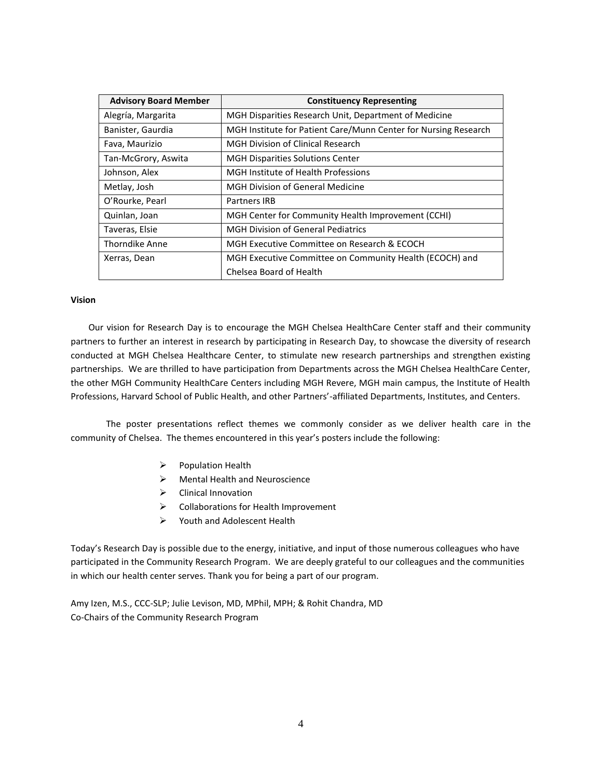| <b>Advisory Board Member</b> | <b>Constituency Representing</b>                                |
|------------------------------|-----------------------------------------------------------------|
| Alegría, Margarita           | MGH Disparities Research Unit, Department of Medicine           |
| Banister, Gaurdia            | MGH Institute for Patient Care/Munn Center for Nursing Research |
| Fava, Maurizio               | <b>MGH Division of Clinical Research</b>                        |
| Tan-McGrory, Aswita          | <b>MGH Disparities Solutions Center</b>                         |
| Johnson, Alex                | MGH Institute of Health Professions                             |
| Metlay, Josh                 | <b>MGH Division of General Medicine</b>                         |
| O'Rourke, Pearl              | Partners IRB                                                    |
| Quinlan, Joan                | MGH Center for Community Health Improvement (CCHI)              |
| Taveras, Elsie               | <b>MGH Division of General Pediatrics</b>                       |
| <b>Thorndike Anne</b>        | MGH Executive Committee on Research & ECOCH                     |
| Xerras, Dean                 | MGH Executive Committee on Community Health (ECOCH) and         |
|                              | Chelsea Board of Health                                         |

#### **Vision**

Our vision for Research Day is to encourage the MGH Chelsea HealthCare Center staff and their community partners to further an interest in research by participating in Research Day, to showcase the diversity of research conducted at MGH Chelsea Healthcare Center, to stimulate new research partnerships and strengthen existing partnerships. We are thrilled to have participation from Departments across the MGH Chelsea HealthCare Center, the other MGH Community HealthCare Centers including MGH Revere, MGH main campus, the Institute of Health Professions, Harvard School of Public Health, and other Partners'-affiliated Departments, Institutes, and Centers.

The poster presentations reflect themes we commonly consider as we deliver health care in the community of Chelsea. The themes encountered in this year's posters include the following:

- ➢ Population Health
- $\triangleright$  Mental Health and Neuroscience
- ➢ Clinical Innovation
- ➢ Collaborations for Health Improvement
- ➢ Youth and Adolescent Health

Today's Research Day is possible due to the energy, initiative, and input of those numerous colleagues who have participated in the Community Research Program. We are deeply grateful to our colleagues and the communities in which our health center serves. Thank you for being a part of our program.

Amy Izen, M.S., CCC-SLP; Julie Levison, MD, MPhil, MPH; & Rohit Chandra, MD Co-Chairs of the Community Research Program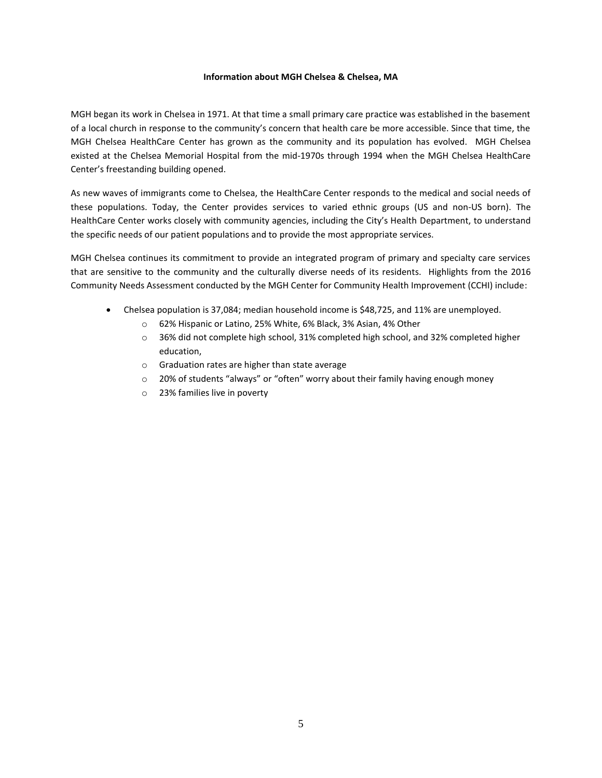#### **Information about MGH Chelsea & Chelsea, MA**

MGH began its work in Chelsea in 1971. At that time a small primary care practice was established in the basement of a local church in response to the community's concern that health care be more accessible. Since that time, the MGH Chelsea HealthCare Center has grown as the community and its population has evolved. MGH Chelsea existed at the Chelsea Memorial Hospital from the mid-1970s through 1994 when the MGH Chelsea HealthCare Center's freestanding building opened.

As new waves of immigrants come to Chelsea, the HealthCare Center responds to the medical and social needs of these populations. Today, the Center provides services to varied ethnic groups (US and non-US born). The HealthCare Center works closely with community agencies, including the City's Health Department, to understand the specific needs of our patient populations and to provide the most appropriate services.

MGH Chelsea continues its commitment to provide an integrated program of primary and specialty care services that are sensitive to the community and the culturally diverse needs of its residents. Highlights from the 2016 Community Needs Assessment conducted by the MGH Center for Community Health Improvement (CCHI) include:

- Chelsea population is 37,084; median household income is \$48,725, and 11% are unemployed.
	- o 62% Hispanic or Latino, 25% White, 6% Black, 3% Asian, 4% Other
	- $\circ$  36% did not complete high school, 31% completed high school, and 32% completed higher education,
	- o Graduation rates are higher than state average
	- $\circ$  20% of students "always" or "often" worry about their family having enough money
	- o 23% families live in poverty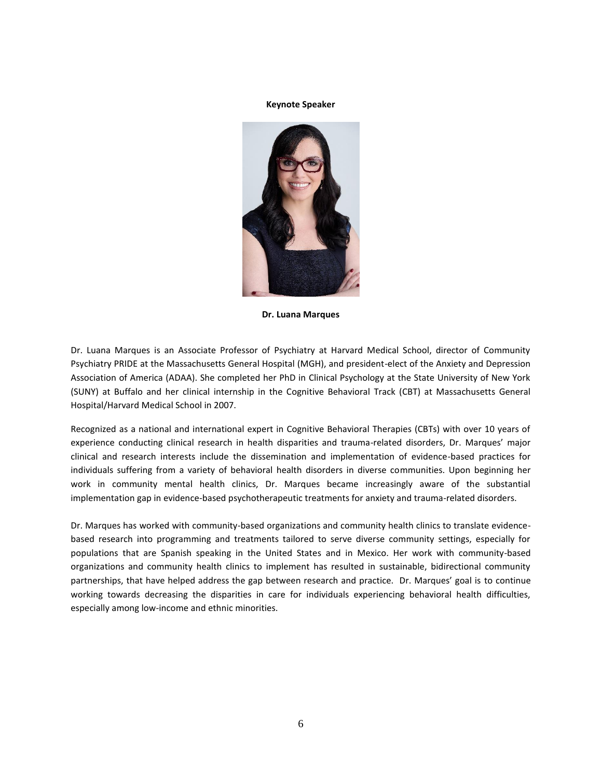**Keynote Speaker**



**Dr. Luana Marques**

Dr. Luana Marques is an Associate Professor of Psychiatry at Harvard Medical School, director of Community Psychiatry PRIDE at the Massachusetts General Hospital (MGH), and president-elect of the Anxiety and Depression Association of America (ADAA). She completed her PhD in Clinical Psychology at the State University of New York (SUNY) at Buffalo and her clinical internship in the Cognitive Behavioral Track (CBT) at Massachusetts General Hospital/Harvard Medical School in 2007.

Recognized as a national and international expert in Cognitive Behavioral Therapies (CBTs) with over 10 years of experience conducting clinical research in health disparities and trauma-related disorders, Dr. Marques' major clinical and research interests include the dissemination and implementation of evidence-based practices for individuals suffering from a variety of behavioral health disorders in diverse communities. Upon beginning her work in community mental health clinics, Dr. Marques became increasingly aware of the substantial implementation gap in evidence-based psychotherapeutic treatments for anxiety and trauma-related disorders.

Dr. Marques has worked with community-based organizations and community health clinics to translate evidencebased research into programming and treatments tailored to serve diverse community settings, especially for populations that are Spanish speaking in the United States and in Mexico. Her work with community-based organizations and community health clinics to implement has resulted in sustainable, bidirectional community partnerships, that have helped address the gap between research and practice. Dr. Marques' goal is to continue working towards decreasing the disparities in care for individuals experiencing behavioral health difficulties, especially among low-income and ethnic minorities.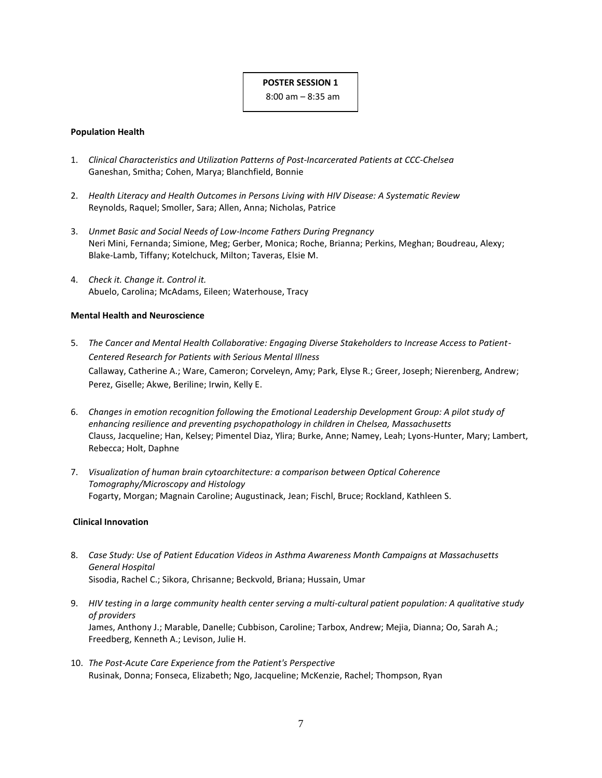# **POSTER SESSION 1**

8:00 am – 8:35 am

# **Population Health**

- 1. *Clinical Characteristics and Utilization Patterns of Post-Incarcerated Patients at CCC-Chelsea* Ganeshan, Smitha; Cohen, Marya; Blanchfield, Bonnie
- 2. *Health Literacy and Health Outcomes in Persons Living with HIV Disease: A Systematic Review* Reynolds, Raquel; Smoller, Sara; Allen, Anna; Nicholas, Patrice
- 3. *Unmet Basic and Social Needs of Low-Income Fathers During Pregnancy* Neri Mini, Fernanda; Simione, Meg; Gerber, Monica; Roche, Brianna; Perkins, Meghan; Boudreau, Alexy; Blake-Lamb, Tiffany; Kotelchuck, Milton; Taveras, Elsie M.
- 4. *Check it. Change it. Control it.* Abuelo, Carolina; McAdams, Eileen; Waterhouse, Tracy

# **Mental Health and Neuroscience**

- 5. *The Cancer and Mental Health Collaborative: Engaging Diverse Stakeholders to Increase Access to Patient-Centered Research for Patients with Serious Mental Illness* Callaway, Catherine A.; Ware, Cameron; Corveleyn, Amy; Park, Elyse R.; Greer, Joseph; Nierenberg, Andrew; Perez, Giselle; Akwe, Beriline; Irwin, Kelly E.
- 6. *Changes in emotion recognition following the Emotional Leadership Development Group: A pilot study of enhancing resilience and preventing psychopathology in children in Chelsea, Massachusetts* Clauss, Jacqueline; Han, Kelsey; Pimentel Diaz, Ylira; Burke, Anne; Namey, Leah; Lyons-Hunter, Mary; Lambert, Rebecca; Holt, Daphne
- 7. *Visualization of human brain cytoarchitecture: a comparison between Optical Coherence Tomography/Microscopy and Histology* Fogarty, Morgan; Magnain Caroline; Augustinack, Jean; Fischl, Bruce; Rockland, Kathleen S.

#### **Clinical Innovation**

- 8. *Case Study: Use of Patient Education Videos in Asthma Awareness Month Campaigns at Massachusetts General Hospital* Sisodia, Rachel C.; Sikora, Chrisanne; Beckvold, Briana; Hussain, Umar
- 9. *HIV testing in a large community health center serving a multi-cultural patient population: A qualitative study of providers* James, Anthony J.; Marable, Danelle; Cubbison, Caroline; Tarbox, Andrew; Mejia, Dianna; Oo, Sarah A.; Freedberg, Kenneth A.; Levison, Julie H.
- 10. *The Post-Acute Care Experience from the Patient's Perspective* Rusinak, Donna; Fonseca, Elizabeth; Ngo, Jacqueline; McKenzie, Rachel; Thompson, Ryan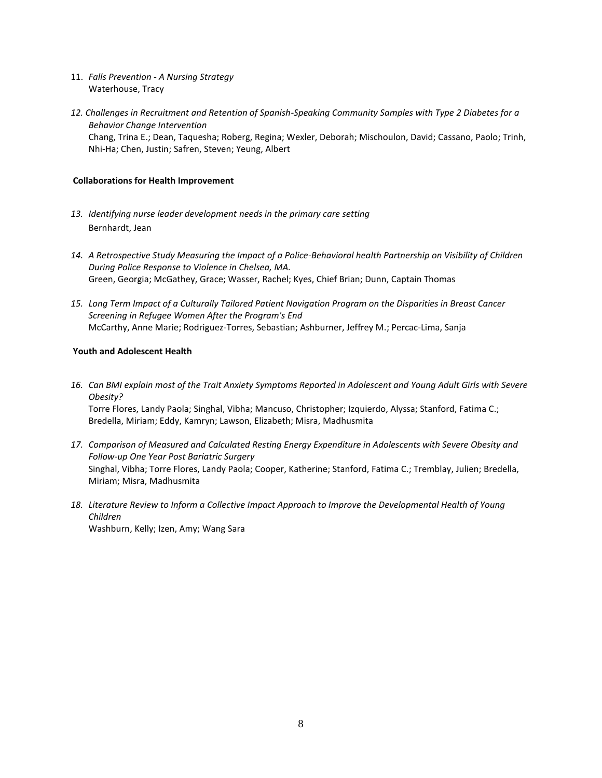- 11. *Falls Prevention - A Nursing Strategy* Waterhouse, Tracy
- *12. Challenges in Recruitment and Retention of Spanish-Speaking Community Samples with Type 2 Diabetes for a Behavior Change Intervention* Chang, Trina E.; Dean, Taquesha; Roberg, Regina; Wexler, Deborah; Mischoulon, David; Cassano, Paolo; Trinh, Nhi-Ha; Chen, Justin; Safren, Steven; Yeung, Albert

# **Collaborations for Health Improvement**

- *13. Identifying nurse leader development needs in the primary care setting* Bernhardt, Jean
- *14. A Retrospective Study Measuring the Impact of a Police-Behavioral health Partnership on Visibility of Children During Police Response to Violence in Chelsea, MA.* Green, Georgia; McGathey, Grace; Wasser, Rachel; Kyes, Chief Brian; Dunn, Captain Thomas
- *15. Long Term Impact of a Culturally Tailored Patient Navigation Program on the Disparities in Breast Cancer Screening in Refugee Women After the Program's End* McCarthy, Anne Marie; Rodriguez-Torres, Sebastian; Ashburner, Jeffrey M.; Percac-Lima, Sanja

# **Youth and Adolescent Health**

- *16. Can BMI explain most of the Trait Anxiety Symptoms Reported in Adolescent and Young Adult Girls with Severe Obesity?* Torre Flores, Landy Paola; Singhal, Vibha; Mancuso, Christopher; Izquierdo, Alyssa; Stanford, Fatima C.; Bredella, Miriam; Eddy, Kamryn; Lawson, Elizabeth; Misra, Madhusmita
- *17. Comparison of Measured and Calculated Resting Energy Expenditure in Adolescents with Severe Obesity and Follow-up One Year Post Bariatric Surgery* Singhal, Vibha; Torre Flores, Landy Paola; Cooper, Katherine; Stanford, Fatima C.; Tremblay, Julien; Bredella, Miriam; Misra, Madhusmita
- *18. Literature Review to Inform a Collective Impact Approach to Improve the Developmental Health of Young Children* Washburn, Kelly; Izen, Amy; Wang Sara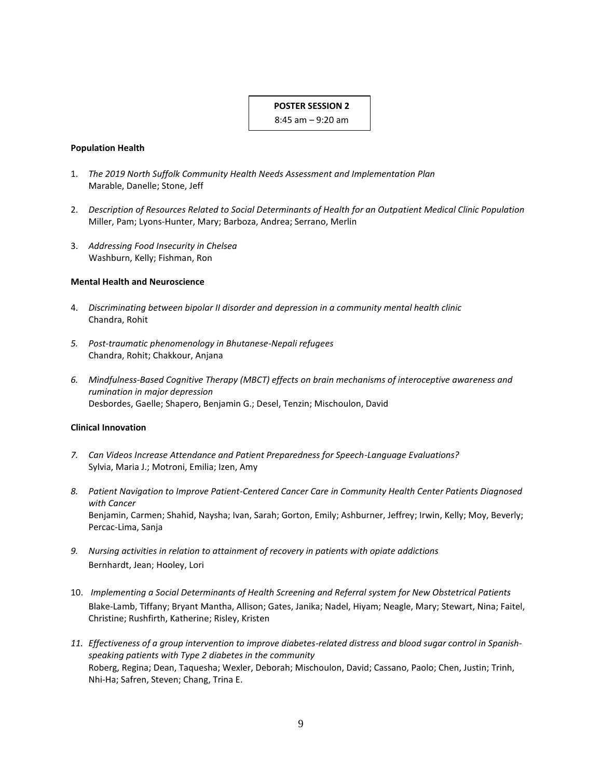# **POSTER SESSION 2**

8:45 am – 9:20 am

#### **Population Health**

- 1. *The 2019 North Suffolk Community Health Needs Assessment and Implementation Plan* Marable, Danelle; Stone, Jeff
- 2. *Description of Resources Related to Social Determinants of Health for an Outpatient Medical Clinic Population* Miller, Pam; Lyons-Hunter, Mary; Barboza, Andrea; Serrano, Merlin
- 3. *Addressing Food Insecurity in Chelsea* Washburn, Kelly; Fishman, Ron

#### **Mental Health and Neuroscience**

- 4. *Discriminating between bipolar II disorder and depression in a community mental health clinic* Chandra, Rohit
- *5. Post-traumatic phenomenology in Bhutanese-Nepali refugees* Chandra, Rohit; Chakkour, Anjana
- *6. Mindfulness-Based Cognitive Therapy (MBCT) effects on brain mechanisms of interoceptive awareness and rumination in major depression* Desbordes, Gaelle; Shapero, Benjamin G.; Desel, Tenzin; Mischoulon, David

#### **Clinical Innovation**

- *7. Can Videos Increase Attendance and Patient Preparedness for Speech-Language Evaluations?* Sylvia, Maria J.; Motroni, Emilia; Izen, Amy
- *8. Patient Navigation to Improve Patient-Centered Cancer Care in Community Health Center Patients Diagnosed with Cancer* Benjamin, Carmen; Shahid, Naysha; Ivan, Sarah; Gorton, Emily; Ashburner, Jeffrey; Irwin, Kelly; Moy, Beverly; Percac-Lima, Sanja
- *9. Nursing activities in relation to attainment of recovery in patients with opiate addictions* Bernhardt, Jean; Hooley, Lori
- 10. *Implementing a Social Determinants of Health Screening and Referral system for New Obstetrical Patients* Blake-Lamb, Tiffany; Bryant Mantha, Allison; Gates, Janika; Nadel, Hiyam; Neagle, Mary; Stewart, Nina; Faitel, Christine; Rushfirth, Katherine; Risley, Kristen
- *11. Effectiveness of a group intervention to improve diabetes-related distress and blood sugar control in Spanishspeaking patients with Type 2 diabetes in the community* Roberg, Regina; Dean, Taquesha; Wexler, Deborah; Mischoulon, David; Cassano, Paolo; Chen, Justin; Trinh, Nhi-Ha; Safren, Steven; Chang, Trina E.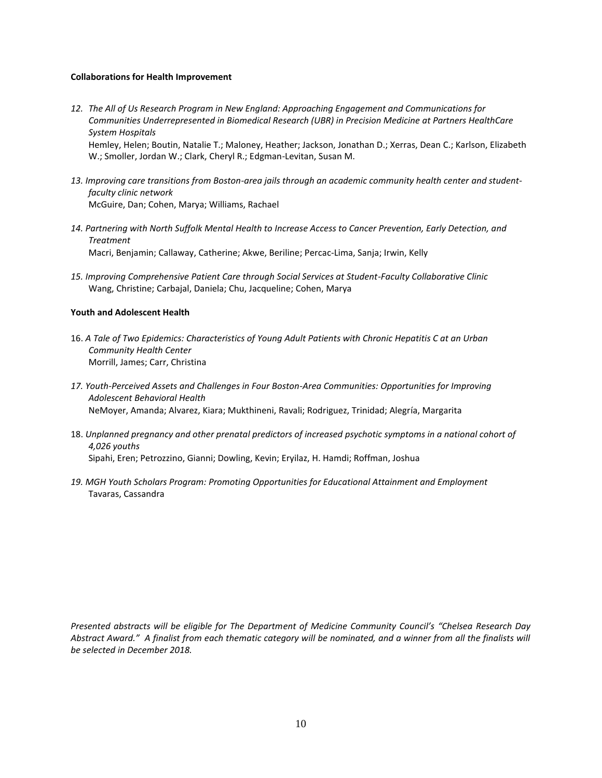#### **Collaborations for Health Improvement**

- *12. The All of Us Research Program in New England: Approaching Engagement and Communications for Communities Underrepresented in Biomedical Research (UBR) in Precision Medicine at Partners HealthCare System Hospitals* Hemley, Helen; Boutin, Natalie T.; Maloney, Heather; Jackson, Jonathan D.; Xerras, Dean C.; Karlson, Elizabeth W.; Smoller, Jordan W.; Clark, Cheryl R.; Edgman-Levitan, Susan M.
- *13. Improving care transitions from Boston-area jails through an academic community health center and studentfaculty clinic network* McGuire, Dan; Cohen, Marya; Williams, Rachael
- *14. Partnering with North Suffolk Mental Health to Increase Access to Cancer Prevention, Early Detection, and Treatment* Macri, Benjamin; Callaway, Catherine; Akwe, Beriline; Percac-Lima, Sanja; Irwin, Kelly
- *15. Improving Comprehensive Patient Care through Social Services at Student-Faculty Collaborative Clinic* Wang, Christine; Carbajal, Daniela; Chu, Jacqueline; Cohen, Marya

# **Youth and Adolescent Health**

- 16. *A Tale of Two Epidemics: Characteristics of Young Adult Patients with Chronic Hepatitis C at an Urban Community Health Center* Morrill, James; Carr, Christina
- *17. Youth-Perceived Assets and Challenges in Four Boston-Area Communities: Opportunities for Improving Adolescent Behavioral Health* NeMoyer, Amanda; Alvarez, Kiara; Mukthineni, Ravali; Rodriguez, Trinidad; Alegría, Margarita
- 18. *Unplanned pregnancy and other prenatal predictors of increased psychotic symptoms in a national cohort of 4,026 youths* Sipahi, Eren; Petrozzino, Gianni; Dowling, Kevin; Eryilaz, H. Hamdi; Roffman, Joshua
- *19. MGH Youth Scholars Program: Promoting Opportunities for Educational Attainment and Employment* Tavaras, Cassandra

*Presented abstracts will be eligible for The Department of Medicine Community Council's "Chelsea Research Day*  Abstract Award." A finalist from each thematic category will be nominated, and a winner from all the finalists will *be selected in December 2018.*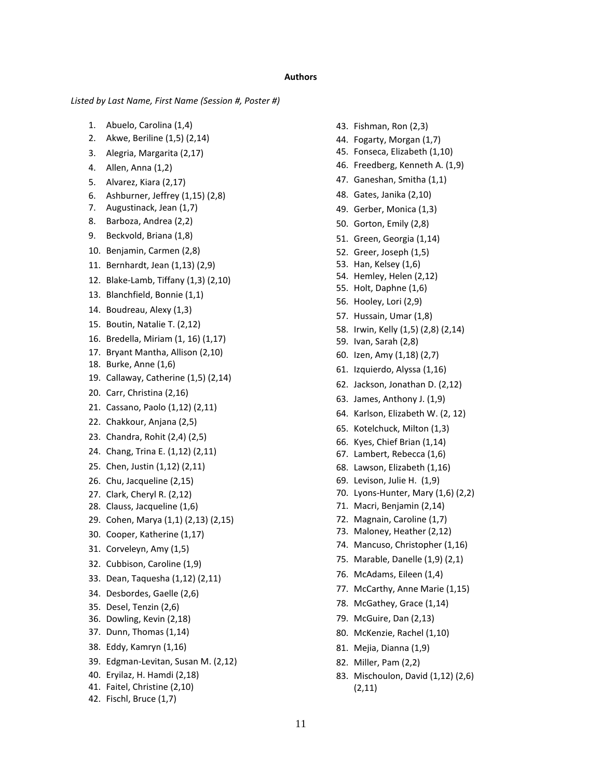#### **Authors**

*Listed by Last Name, First Name (Session #, Poster #)*

- 1. Abuelo, Carolina (1,4)
- 2. Akwe, Beriline (1,5) (2,14)
- 3. Alegria, Margarita (2,17)
- 4. Allen, Anna (1,2)
- 5. Alvarez, Kiara (2,17)
- 6. Ashburner, Jeffrey (1,15) (2,8)
- 7. Augustinack, Jean (1,7)
- 8. Barboza, Andrea (2,2)
- 9. Beckvold, Briana (1,8)
- 10. Benjamin, Carmen (2,8)
- 11. Bernhardt, Jean (1,13) (2,9)
- 12. Blake-Lamb, Tiffany (1,3) (2,10)
- 13. Blanchfield, Bonnie (1,1)
- 14. Boudreau, Alexy (1,3)
- 15. Boutin, Natalie T. (2,12)
- 16. Bredella, Miriam (1, 16) (1,17)
- 17. Bryant Mantha, Allison (2,10)
- 18. Burke, Anne (1,6)
- 19. Callaway, Catherine (1,5) (2,14)
- 20. Carr, Christina (2,16)
- 21. Cassano, Paolo (1,12) (2,11)
- 22. Chakkour, Anjana (2,5)
- 23. Chandra, Rohit (2,4) (2,5)
- 24. Chang, Trina E. (1,12) (2,11)
- 25. Chen, Justin (1,12) (2,11)
- 26. Chu, Jacqueline (2,15)
- 27. Clark, Cheryl R. (2,12)
- 28. Clauss, Jacqueline (1,6)
- 29. Cohen, Marya (1,1) (2,13) (2,15)
- 30. Cooper, Katherine (1,17)
- 31. Corveleyn, Amy (1,5)
- 32. Cubbison, Caroline (1,9)
- 33. Dean, Taquesha (1,12) (2,11)
- 34. Desbordes, Gaelle (2,6)
- 35. Desel, Tenzin (2,6)
- 36. Dowling, Kevin (2,18)
- 37. Dunn, Thomas (1,14)
- 38. Eddy, Kamryn (1,16)
- 39. Edgman-Levitan, Susan M. (2,12)
- 40. Eryilaz, H. Hamdi (2,18)
- 41. Faitel, Christine (2,10)
- 42. Fischl, Bruce (1,7)
- 43. Fishman, Ron (2,3)
- 44. Fogarty, Morgan (1,7)
- 45. Fonseca, Elizabeth (1,10)
- 46. Freedberg, Kenneth A. (1,9)
- 47. Ganeshan, Smitha (1,1)
- 48. Gates, Janika (2,10)
- 49. Gerber, Monica (1,3)
- 50. Gorton, Emily (2,8)
- 51. Green, Georgia (1,14)
- 52. Greer, Joseph (1,5)
- 53. Han, Kelsey (1,6)
- 54. Hemley, Helen (2,12)
- 55. Holt, Daphne (1,6)
- 56. Hooley, Lori (2,9)
- 57. Hussain, Umar (1,8)
- 58. Irwin, Kelly (1,5) (2,8) (2,14)
- 59. Ivan, Sarah (2,8)
- 60. Izen, Amy (1,18) (2,7)
- 61. Izquierdo, Alyssa (1,16)
- 62. Jackson, Jonathan D. (2,12)
- 63. James, Anthony J. (1,9)
- 64. Karlson, Elizabeth W. (2, 12)
- 65. Kotelchuck, Milton (1,3)
- 66. Kyes, Chief Brian (1,14)
- 67. Lambert, Rebecca (1,6)
- 68. Lawson, Elizabeth (1,16)
- 69. Levison, Julie H. (1,9)
- 70. Lyons-Hunter, Mary (1,6) (2,2)
- 71. Macri, Benjamin (2,14)
- 72. Magnain, Caroline (1,7)
- 73. Maloney, Heather (2,12)
- 74. Mancuso, Christopher (1,16)
- 75. Marable, Danelle (1,9) (2,1)
- 76. McAdams, Eileen (1,4)
- 77. McCarthy, Anne Marie (1,15)
- 78. McGathey, Grace (1,14)
- 79. McGuire, Dan (2,13)
- 80. McKenzie, Rachel (1,10)
- 81. Mejia, Dianna (1,9)
- 82. Miller, Pam (2,2)
- 83. Mischoulon, David (1,12) (2,6) (2,11)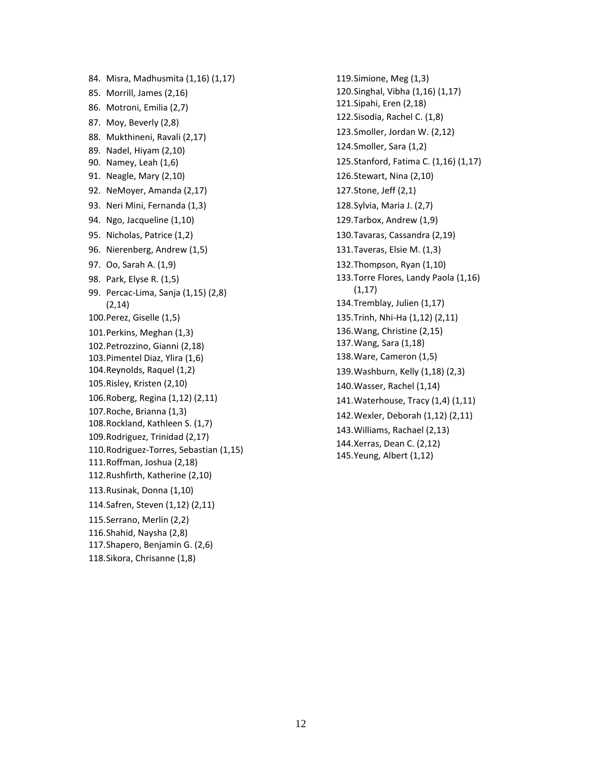84. Misra, Madhusmita (1,16) (1,17) 85. Morrill, James (2,16) 86. Motroni, Emilia (2,7) 87. Moy, Beverly (2,8) 88. Mukthineni, Ravali (2,17) 89. Nadel, Hiyam (2,10) 90. Namey, Leah (1,6) 91. Neagle, Mary (2,10) 92. NeMoyer, Amanda (2,17) 93. Neri Mini, Fernanda (1,3) 94. Ngo, Jacqueline (1,10) 95. Nicholas, Patrice (1,2) 96. Nierenberg, Andrew (1,5) 97. Oo, Sarah A. (1,9) 98. Park, Elyse R. (1,5) 99. Percac-Lima, Sanja (1,15) (2,8) (2,14) 100.Perez, Giselle (1,5) 101.Perkins, Meghan (1,3) 102.Petrozzino, Gianni (2,18) 103.Pimentel Diaz, Ylira (1,6) 104.Reynolds, Raquel (1,2) 105.Risley, Kristen (2,10) 106.Roberg, Regina (1,12) (2,11) 107.Roche, Brianna (1,3) 108.Rockland, Kathleen S. (1,7) 109.Rodriguez, Trinidad (2,17) 110.Rodriguez-Torres, Sebastian (1,15) 111.Roffman, Joshua (2,18) 112.Rushfirth, Katherine (2,10) 113.Rusinak, Donna (1,10) 114.Safren, Steven (1,12) (2,11) 115.Serrano, Merlin (2,2) 116.Shahid, Naysha (2,8) 117.Shapero, Benjamin G. (2,6) 118.Sikora, Chrisanne (1,8)

119.Simione, Meg (1,3) 120.Singhal, Vibha (1,16) (1,17) 121.Sipahi, Eren (2,18) 122.Sisodia, Rachel C. (1,8) 123.Smoller, Jordan W. (2,12) 124.Smoller, Sara (1,2) 125.Stanford, Fatima C. (1,16) (1,17) 126.Stewart, Nina (2,10) 127.Stone, Jeff (2,1) 128.Sylvia, Maria J. (2,7) 129.Tarbox, Andrew (1,9) 130.Tavaras, Cassandra (2,19) 131.Taveras, Elsie M. (1,3) 132.Thompson, Ryan (1,10) 133.Torre Flores, Landy Paola (1,16)  $(1,17)$ 134.Tremblay, Julien (1,17) 135.Trinh, Nhi-Ha (1,12) (2,11) 136.Wang, Christine (2,15) 137.Wang, Sara (1,18) 138.Ware, Cameron (1,5) 139.Washburn, Kelly (1,18) (2,3) 140.Wasser, Rachel (1,14) 141.Waterhouse, Tracy (1,4) (1,11) 142.Wexler, Deborah (1,12) (2,11) 143.Williams, Rachael (2,13) 144.Xerras, Dean C. (2,12) 145.Yeung, Albert (1,12)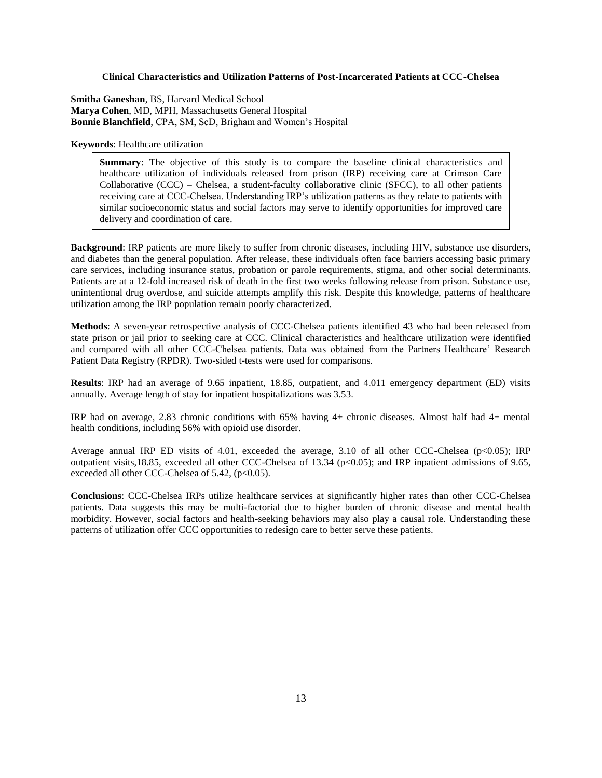#### **Clinical Characteristics and Utilization Patterns of Post-Incarcerated Patients at CCC-Chelsea**

**Smitha Ganeshan**, BS, Harvard Medical School **Marya Cohen**, MD, MPH, Massachusetts General Hospital **Bonnie Blanchfield**, CPA, SM, ScD, Brigham and Women's Hospital

**Keywords**: Healthcare utilization

**Summary**: The objective of this study is to compare the baseline clinical characteristics and healthcare utilization of individuals released from prison (IRP) receiving care at Crimson Care Collaborative (CCC) – Chelsea, a student-faculty collaborative clinic (SFCC), to all other patients receiving care at CCC-Chelsea. Understanding IRP's utilization patterns as they relate to patients with similar socioeconomic status and social factors may serve to identify opportunities for improved care delivery and coordination of care.

**Background**: IRP patients are more likely to suffer from chronic diseases, including HIV, substance use disorders, and diabetes than the general population. After release, these individuals often face barriers accessing basic primary care services, including insurance status, probation or parole requirements, stigma, and other social determinants. Patients are at a 12-fold increased risk of death in the first two weeks following release from prison. Substance use, unintentional drug overdose, and suicide attempts amplify this risk. Despite this knowledge, patterns of healthcare utilization among the IRP population remain poorly characterized.

**Methods**: A seven-year retrospective analysis of CCC-Chelsea patients identified 43 who had been released from state prison or jail prior to seeking care at CCC. Clinical characteristics and healthcare utilization were identified and compared with all other CCC-Chelsea patients. Data was obtained from the Partners Healthcare' Research Patient Data Registry (RPDR). Two-sided t-tests were used for comparisons.

**Results**: IRP had an average of 9.65 inpatient, 18.85, outpatient, and 4.011 emergency department (ED) visits annually. Average length of stay for inpatient hospitalizations was 3.53.

IRP had on average, 2.83 chronic conditions with 65% having 4+ chronic diseases. Almost half had 4+ mental health conditions, including 56% with opioid use disorder.

Average annual IRP ED visits of 4.01, exceeded the average, 3.10 of all other CCC-Chelsea (p<0.05); IRP outpatient visits,18.85, exceeded all other CCC-Chelsea of 13.34 (p<0.05); and IRP inpatient admissions of 9.65, exceeded all other CCC-Chelsea of 5.42, (p<0.05).

**Conclusions**: CCC-Chelsea IRPs utilize healthcare services at significantly higher rates than other CCC-Chelsea patients. Data suggests this may be multi-factorial due to higher burden of chronic disease and mental health morbidity. However, social factors and health-seeking behaviors may also play a causal role. Understanding these patterns of utilization offer CCC opportunities to redesign care to better serve these patients.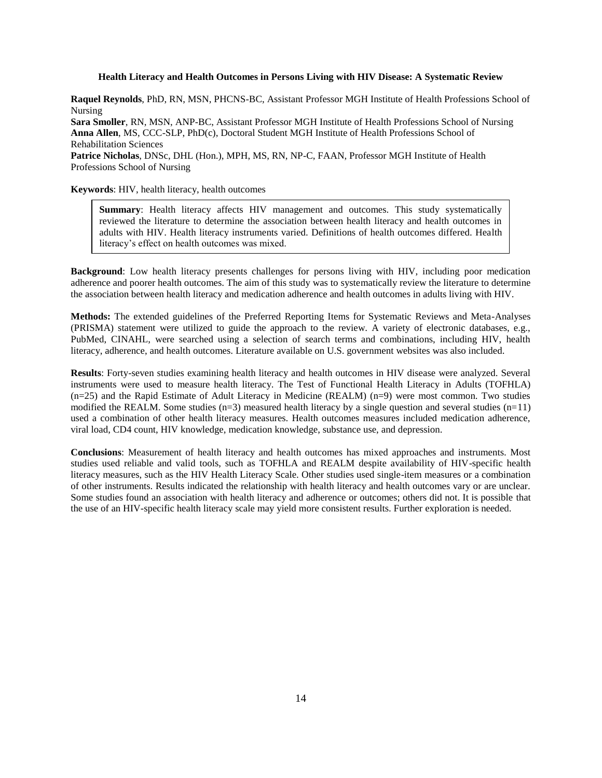### **Health Literacy and Health Outcomes in Persons Living with HIV Disease: A Systematic Review**

**Raquel Reynolds**, PhD, RN, MSN, PHCNS-BC, Assistant Professor MGH Institute of Health Professions School of Nursing

**Sara Smoller**, RN, MSN, ANP-BC, Assistant Professor MGH Institute of Health Professions School of Nursing **Anna Allen**, MS, CCC-SLP, PhD(c), Doctoral Student MGH Institute of Health Professions School of Rehabilitation Sciences

**Patrice Nicholas**, DNSc, DHL (Hon.), MPH, MS, RN, NP-C, FAAN, Professor MGH Institute of Health Professions School of Nursing

**Keywords**: HIV, health literacy, health outcomes

**Summary**: Health literacy affects HIV management and outcomes. This study systematically reviewed the literature to determine the association between health literacy and health outcomes in adults with HIV. Health literacy instruments varied. Definitions of health outcomes differed. Health literacy's effect on health outcomes was mixed.

**Background**: Low health literacy presents challenges for persons living with HIV, including poor medication adherence and poorer health outcomes. The aim of this study was to systematically review the literature to determine the association between health literacy and medication adherence and health outcomes in adults living with HIV.

**Methods:** The extended guidelines of the Preferred Reporting Items for Systematic Reviews and Meta-Analyses (PRISMA) statement were utilized to guide the approach to the review. A variety of electronic databases, e.g., PubMed, CINAHL, were searched using a selection of search terms and combinations, including HIV, health literacy, adherence, and health outcomes. Literature available on U.S. government websites was also included.

**Results**: Forty-seven studies examining health literacy and health outcomes in HIV disease were analyzed. Several instruments were used to measure health literacy. The Test of Functional Health Literacy in Adults (TOFHLA) (n=25) and the Rapid Estimate of Adult Literacy in Medicine (REALM) (n=9) were most common. Two studies modified the REALM. Some studies  $(n=3)$  measured health literacy by a single question and several studies  $(n=11)$ used a combination of other health literacy measures. Health outcomes measures included medication adherence, viral load, CD4 count, HIV knowledge, medication knowledge, substance use, and depression.

**Conclusions**: Measurement of health literacy and health outcomes has mixed approaches and instruments. Most studies used reliable and valid tools, such as TOFHLA and REALM despite availability of HIV-specific health literacy measures, such as the HIV Health Literacy Scale. Other studies used single-item measures or a combination of other instruments. Results indicated the relationship with health literacy and health outcomes vary or are unclear. Some studies found an association with health literacy and adherence or outcomes; others did not. It is possible that the use of an HIV-specific health literacy scale may yield more consistent results. Further exploration is needed.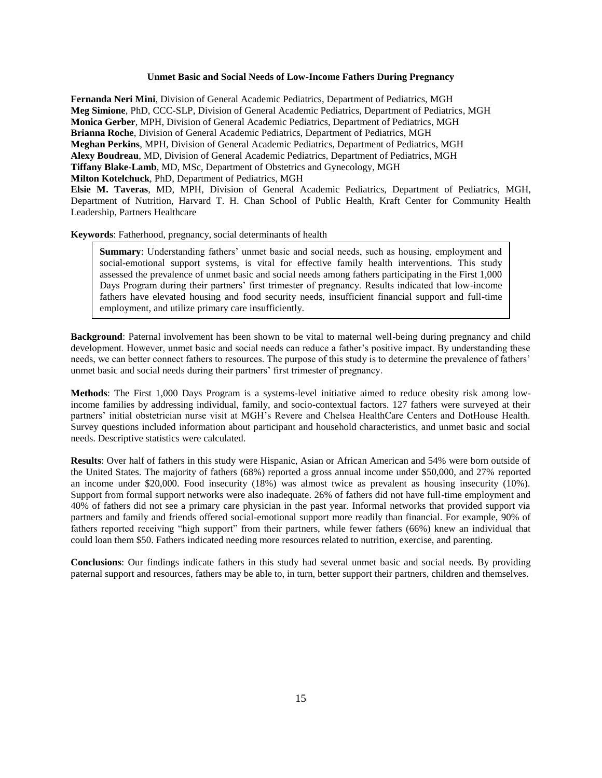# **Unmet Basic and Social Needs of Low-Income Fathers During Pregnancy**

**Fernanda Neri Mini**, Division of General Academic Pediatrics, Department of Pediatrics, MGH **Meg Simione**, PhD, CCC-SLP, Division of General Academic Pediatrics, Department of Pediatrics, MGH **Monica Gerber**, MPH, Division of General Academic Pediatrics, Department of Pediatrics, MGH **Brianna Roche**, Division of General Academic Pediatrics, Department of Pediatrics, MGH **Meghan Perkins**, MPH, Division of General Academic Pediatrics, Department of Pediatrics, MGH **Alexy Boudreau**, MD, Division of General Academic Pediatrics, Department of Pediatrics, MGH **Tiffany Blake-Lamb**, MD, MSc, Department of Obstetrics and Gynecology, MGH **Milton Kotelchuck**, PhD, Department of Pediatrics, MGH

**Elsie M. Taveras**, MD, MPH, Division of General Academic Pediatrics, Department of Pediatrics, MGH, Department of Nutrition, Harvard T. H. Chan School of Public Health, Kraft Center for Community Health Leadership, Partners Healthcare

**Keywords**: Fatherhood, pregnancy, social determinants of health

**Summary**: Understanding fathers' unmet basic and social needs, such as housing, employment and social-emotional support systems, is vital for effective family health interventions. This study assessed the prevalence of unmet basic and social needs among fathers participating in the First 1,000 Days Program during their partners' first trimester of pregnancy. Results indicated that low-income fathers have elevated housing and food security needs, insufficient financial support and full-time employment, and utilize primary care insufficiently.

**Background**: Paternal involvement has been shown to be vital to maternal well-being during pregnancy and child development. However, unmet basic and social needs can reduce a father's positive impact. By understanding these needs, we can better connect fathers to resources. The purpose of this study is to determine the prevalence of fathers' unmet basic and social needs during their partners' first trimester of pregnancy.

**Methods**: The First 1,000 Days Program is a systems-level initiative aimed to reduce obesity risk among lowincome families by addressing individual, family, and socio-contextual factors. 127 fathers were surveyed at their partners' initial obstetrician nurse visit at MGH's Revere and Chelsea HealthCare Centers and DotHouse Health. Survey questions included information about participant and household characteristics, and unmet basic and social needs. Descriptive statistics were calculated.

**Results**: Over half of fathers in this study were Hispanic, Asian or African American and 54% were born outside of the United States. The majority of fathers (68%) reported a gross annual income under \$50,000, and 27% reported an income under \$20,000. Food insecurity (18%) was almost twice as prevalent as housing insecurity (10%). Support from formal support networks were also inadequate. 26% of fathers did not have full-time employment and 40% of fathers did not see a primary care physician in the past year. Informal networks that provided support via partners and family and friends offered social-emotional support more readily than financial. For example, 90% of fathers reported receiving "high support" from their partners, while fewer fathers (66%) knew an individual that could loan them \$50. Fathers indicated needing more resources related to nutrition, exercise, and parenting.

**Conclusions**: Our findings indicate fathers in this study had several unmet basic and social needs. By providing paternal support and resources, fathers may be able to, in turn, better support their partners, children and themselves.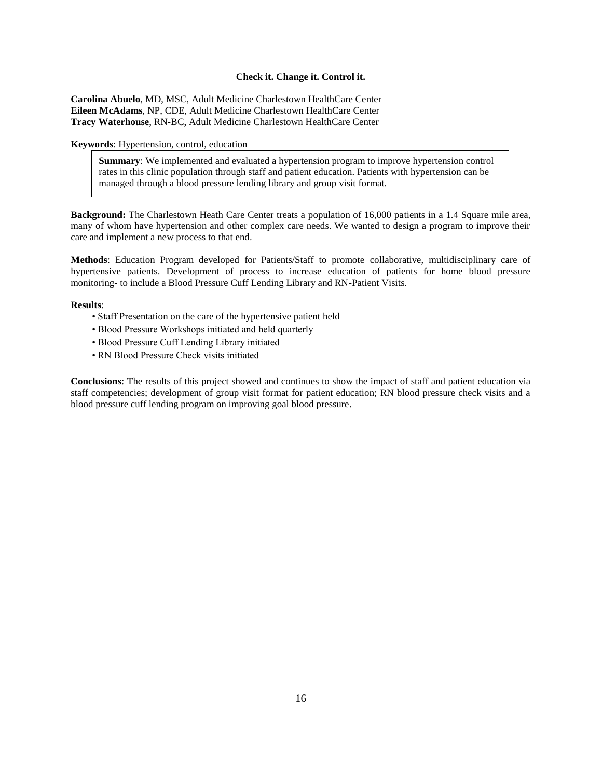#### **Check it. Change it. Control it.**

**Carolina Abuelo**, MD, MSC, Adult Medicine Charlestown HealthCare Center **Eileen McAdams**, NP, CDE, Adult Medicine Charlestown HealthCare Center **Tracy Waterhouse**, RN-BC, Adult Medicine Charlestown HealthCare Center

**Keywords**: Hypertension, control, education

**Summary**: We implemented and evaluated a hypertension program to improve hypertension control rates in this clinic population through staff and patient education. Patients with hypertension can be managed through a blood pressure lending library and group visit format.

**Background:** The Charlestown Heath Care Center treats a population of 16,000 patients in a 1.4 Square mile area, many of whom have hypertension and other complex care needs. We wanted to design a program to improve their care and implement a new process to that end.

**Methods**: Education Program developed for Patients/Staff to promote collaborative, multidisciplinary care of hypertensive patients. Development of process to increase education of patients for home blood pressure monitoring- to include a Blood Pressure Cuff Lending Library and RN-Patient Visits.

**Results**:

- Staff Presentation on the care of the hypertensive patient held
- Blood Pressure Workshops initiated and held quarterly
- Blood Pressure Cuff Lending Library initiated
- RN Blood Pressure Check visits initiated

**Conclusions**: The results of this project showed and continues to show the impact of staff and patient education via staff competencies; development of group visit format for patient education; RN blood pressure check visits and a blood pressure cuff lending program on improving goal blood pressure.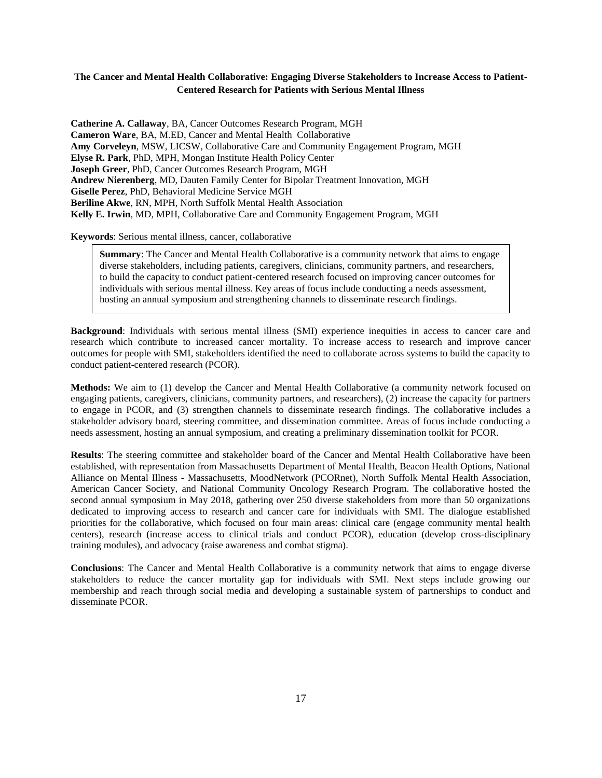# **The Cancer and Mental Health Collaborative: Engaging Diverse Stakeholders to Increase Access to Patient-Centered Research for Patients with Serious Mental Illness**

**Catherine A. Callaway**, BA, Cancer Outcomes Research Program, MGH **Cameron Ware**, BA, M.ED, Cancer and Mental Health Collaborative **Amy Corveleyn**, MSW, LICSW, Collaborative Care and Community Engagement Program, MGH **Elyse R. Park**, PhD, MPH, Mongan Institute Health Policy Center **Joseph Greer**, PhD, Cancer Outcomes Research Program, MGH **Andrew Nierenberg**, MD, Dauten Family Center for Bipolar Treatment Innovation, MGH **Giselle Perez**, PhD, Behavioral Medicine Service MGH **Beriline Akwe**, RN, MPH, North Suffolk Mental Health Association **Kelly E. Irwin**, MD, MPH, Collaborative Care and Community Engagement Program, MGH

**Keywords**: Serious mental illness, cancer, collaborative

**Summary**: The Cancer and Mental Health Collaborative is a community network that aims to engage diverse stakeholders, including patients, caregivers, clinicians, community partners, and researchers, to build the capacity to conduct patient-centered research focused on improving cancer outcomes for individuals with serious mental illness. Key areas of focus include conducting a needs assessment, hosting an annual symposium and strengthening channels to disseminate research findings.

**Background**: Individuals with serious mental illness (SMI) experience inequities in access to cancer care and research which contribute to increased cancer mortality. To increase access to research and improve cancer outcomes for people with SMI, stakeholders identified the need to collaborate across systems to build the capacity to conduct patient-centered research (PCOR).

**Methods:** We aim to (1) develop the Cancer and Mental Health Collaborative (a community network focused on engaging patients, caregivers, clinicians, community partners, and researchers), (2) increase the capacity for partners to engage in PCOR, and (3) strengthen channels to disseminate research findings. The collaborative includes a stakeholder advisory board, steering committee, and dissemination committee. Areas of focus include conducting a needs assessment, hosting an annual symposium, and creating a preliminary dissemination toolkit for PCOR.

**Results**: The steering committee and stakeholder board of the Cancer and Mental Health Collaborative have been established, with representation from Massachusetts Department of Mental Health, Beacon Health Options, National Alliance on Mental Illness - Massachusetts, MoodNetwork (PCORnet), North Suffolk Mental Health Association, American Cancer Society, and National Community Oncology Research Program. The collaborative hosted the second annual symposium in May 2018, gathering over 250 diverse stakeholders from more than 50 organizations dedicated to improving access to research and cancer care for individuals with SMI. The dialogue established priorities for the collaborative, which focused on four main areas: clinical care (engage community mental health centers), research (increase access to clinical trials and conduct PCOR), education (develop cross-disciplinary training modules), and advocacy (raise awareness and combat stigma).

**Conclusions**: The Cancer and Mental Health Collaborative is a community network that aims to engage diverse stakeholders to reduce the cancer mortality gap for individuals with SMI. Next steps include growing our membership and reach through social media and developing a sustainable system of partnerships to conduct and disseminate PCOR.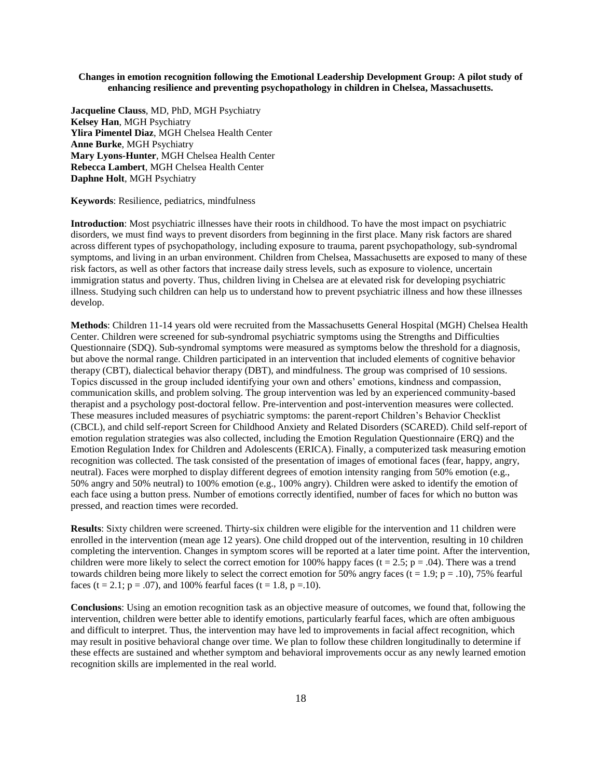# **Changes in emotion recognition following the Emotional Leadership Development Group: A pilot study of enhancing resilience and preventing psychopathology in children in Chelsea, Massachusetts.**

**Jacqueline Clauss**, MD, PhD, MGH Psychiatry **Kelsey Han**, MGH Psychiatry **Ylira Pimentel Diaz**, MGH Chelsea Health Center **Anne Burke**, MGH Psychiatry **Mary Lyons-Hunter**, MGH Chelsea Health Center **Rebecca Lambert**, MGH Chelsea Health Center **Daphne Holt**, MGH Psychiatry

#### **Keywords**: Resilience, pediatrics, mindfulness

**Introduction**: Most psychiatric illnesses have their roots in childhood. To have the most impact on psychiatric disorders, we must find ways to prevent disorders from beginning in the first place. Many risk factors are shared across different types of psychopathology, including exposure to trauma, parent psychopathology, sub-syndromal symptoms, and living in an urban environment. Children from Chelsea, Massachusetts are exposed to many of these risk factors, as well as other factors that increase daily stress levels, such as exposure to violence, uncertain immigration status and poverty. Thus, children living in Chelsea are at elevated risk for developing psychiatric illness. Studying such children can help us to understand how to prevent psychiatric illness and how these illnesses develop.

**Methods**: Children 11-14 years old were recruited from the Massachusetts General Hospital (MGH) Chelsea Health Center. Children were screened for sub-syndromal psychiatric symptoms using the Strengths and Difficulties Questionnaire (SDQ). Sub-syndromal symptoms were measured as symptoms below the threshold for a diagnosis, but above the normal range. Children participated in an intervention that included elements of cognitive behavior therapy (CBT), dialectical behavior therapy (DBT), and mindfulness. The group was comprised of 10 sessions. Topics discussed in the group included identifying your own and others' emotions, kindness and compassion, communication skills, and problem solving. The group intervention was led by an experienced community-based therapist and a psychology post-doctoral fellow. Pre-intervention and post-intervention measures were collected. These measures included measures of psychiatric symptoms: the parent-report Children's Behavior Checklist (CBCL), and child self-report Screen for Childhood Anxiety and Related Disorders (SCARED). Child self-report of emotion regulation strategies was also collected, including the Emotion Regulation Questionnaire (ERQ) and the Emotion Regulation Index for Children and Adolescents (ERICA). Finally, a computerized task measuring emotion recognition was collected. The task consisted of the presentation of images of emotional faces (fear, happy, angry, neutral). Faces were morphed to display different degrees of emotion intensity ranging from 50% emotion (e.g., 50% angry and 50% neutral) to 100% emotion (e.g., 100% angry). Children were asked to identify the emotion of each face using a button press. Number of emotions correctly identified, number of faces for which no button was pressed, and reaction times were recorded.

**Results**: Sixty children were screened. Thirty-six children were eligible for the intervention and 11 children were enrolled in the intervention (mean age 12 years). One child dropped out of the intervention, resulting in 10 children completing the intervention. Changes in symptom scores will be reported at a later time point. After the intervention, children were more likely to select the correct emotion for 100% happy faces (t = 2.5; p = .04). There was a trend towards children being more likely to select the correct emotion for 50% angry faces (t = 1.9; p = .10), 75% fearful faces (t = 2.1; p = .07), and 100% fearful faces (t = 1.8, p = .10).

**Conclusions**: Using an emotion recognition task as an objective measure of outcomes, we found that, following the intervention, children were better able to identify emotions, particularly fearful faces, which are often ambiguous and difficult to interpret. Thus, the intervention may have led to improvements in facial affect recognition, which may result in positive behavioral change over time. We plan to follow these children longitudinally to determine if these effects are sustained and whether symptom and behavioral improvements occur as any newly learned emotion recognition skills are implemented in the real world.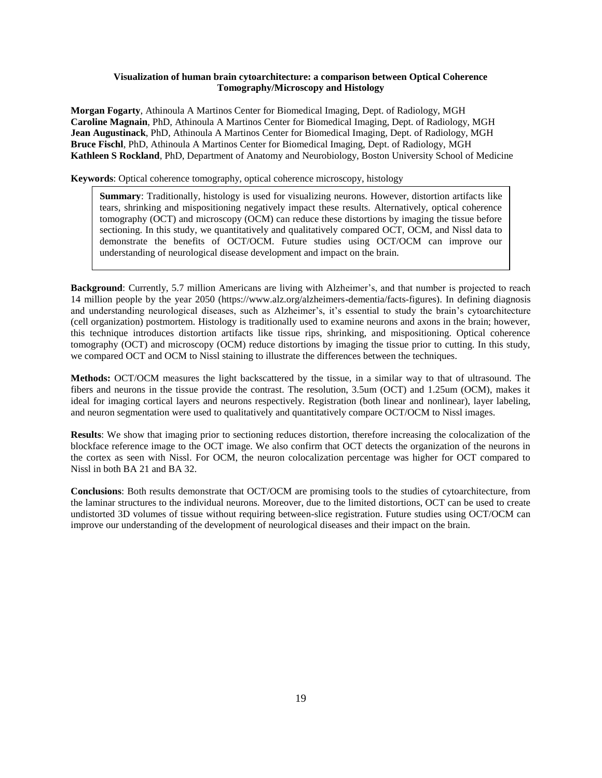# **Visualization of human brain cytoarchitecture: a comparison between Optical Coherence Tomography/Microscopy and Histology**

**Morgan Fogarty**, Athinoula A Martinos Center for Biomedical Imaging, Dept. of Radiology, MGH **Caroline Magnain**, PhD, Athinoula A Martinos Center for Biomedical Imaging, Dept. of Radiology, MGH **Jean Augustinack**, PhD, Athinoula A Martinos Center for Biomedical Imaging, Dept. of Radiology, MGH **Bruce Fischl**, PhD, Athinoula A Martinos Center for Biomedical Imaging, Dept. of Radiology, MGH **Kathleen S Rockland**, PhD, Department of Anatomy and Neurobiology, Boston University School of Medicine

**Keywords**: Optical coherence tomography, optical coherence microscopy, histology

**Summary**: Traditionally, histology is used for visualizing neurons. However, distortion artifacts like tears, shrinking and mispositioning negatively impact these results. Alternatively, optical coherence tomography (OCT) and microscopy (OCM) can reduce these distortions by imaging the tissue before sectioning. In this study, we quantitatively and qualitatively compared OCT, OCM, and Nissl data to demonstrate the benefits of OCT/OCM. Future studies using OCT/OCM can improve our understanding of neurological disease development and impact on the brain.

**Background**: Currently, 5.7 million Americans are living with Alzheimer's, and that number is projected to reach 14 million people by the year 2050 (https://www.alz.org/alzheimers-dementia/facts-figures). In defining diagnosis and understanding neurological diseases, such as Alzheimer's, it's essential to study the brain's cytoarchitecture (cell organization) postmortem. Histology is traditionally used to examine neurons and axons in the brain; however, this technique introduces distortion artifacts like tissue rips, shrinking, and mispositioning. Optical coherence tomography (OCT) and microscopy (OCM) reduce distortions by imaging the tissue prior to cutting. In this study, we compared OCT and OCM to Nissl staining to illustrate the differences between the techniques.

**Methods:** OCT/OCM measures the light backscattered by the tissue, in a similar way to that of ultrasound. The fibers and neurons in the tissue provide the contrast. The resolution, 3.5um (OCT) and 1.25um (OCM), makes it ideal for imaging cortical layers and neurons respectively. Registration (both linear and nonlinear), layer labeling, and neuron segmentation were used to qualitatively and quantitatively compare OCT/OCM to Nissl images.

**Results**: We show that imaging prior to sectioning reduces distortion, therefore increasing the colocalization of the blockface reference image to the OCT image. We also confirm that OCT detects the organization of the neurons in the cortex as seen with Nissl. For OCM, the neuron colocalization percentage was higher for OCT compared to Nissl in both BA 21 and BA 32.

**Conclusions**: Both results demonstrate that OCT/OCM are promising tools to the studies of cytoarchitecture, from the laminar structures to the individual neurons. Moreover, due to the limited distortions, OCT can be used to create undistorted 3D volumes of tissue without requiring between-slice registration. Future studies using OCT/OCM can improve our understanding of the development of neurological diseases and their impact on the brain.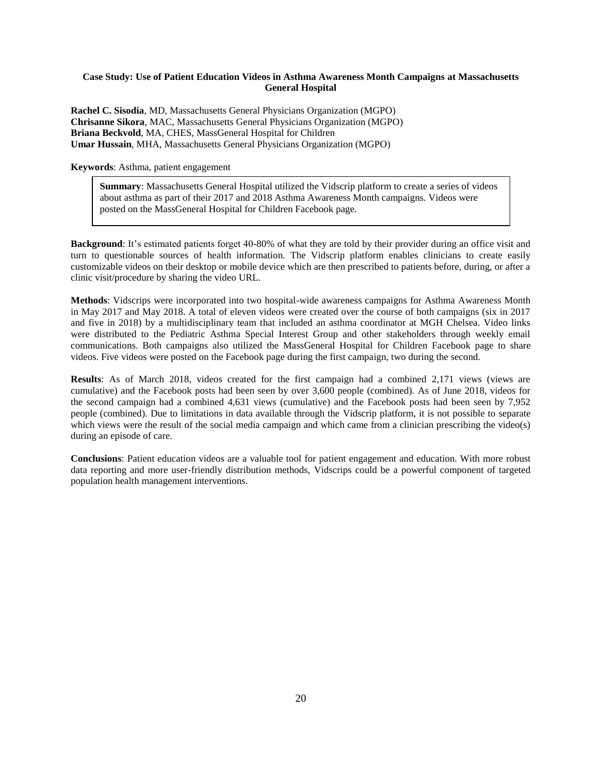# **Case Study: Use of Patient Education Videos in Asthma Awareness Month Campaigns at Massachusetts General Hospital**

**Rachel C. Sisodia**, MD, Massachusetts General Physicians Organization (MGPO) **Chrisanne Sikora**, MAC, Massachusetts General Physicians Organization (MGPO) **Briana Beckvold**, MA, CHES, MassGeneral Hospital for Children **Umar Hussain**, MHA, Massachusetts General Physicians Organization (MGPO)

**Keywords**: Asthma, patient engagement

**Summary**: Massachusetts General Hospital utilized the Vidscrip platform to create a series of videos about asthma as part of their 2017 and 2018 Asthma Awareness Month campaigns. Videos were posted on the MassGeneral Hospital for Children Facebook page.

**Background:** It's estimated patients forget 40-80% of what they are told by their provider during an office visit and turn to questionable sources of health information. The Vidscrip platform enables clinicians to create easily customizable videos on their desktop or mobile device which are then prescribed to patients before, during, or after a clinic visit/procedure by sharing the video URL.

**Methods**: Vidscrips were incorporated into two hospital-wide awareness campaigns for Asthma Awareness Month in May 2017 and May 2018. A total of eleven videos were created over the course of both campaigns (six in 2017 and five in 2018) by a multidisciplinary team that included an asthma coordinator at MGH Chelsea. Video links were distributed to the Pediatric Asthma Special Interest Group and other stakeholders through weekly email communications. Both campaigns also utilized the MassGeneral Hospital for Children Facebook page to share videos. Five videos were posted on the Facebook page during the first campaign, two during the second.

**Results**: As of March 2018, videos created for the first campaign had a combined 2,171 views (views are cumulative) and the Facebook posts had been seen by over 3,600 people (combined). As of June 2018, videos for the second campaign had a combined 4,631 views (cumulative) and the Facebook posts had been seen by 7,952 people (combined). Due to limitations in data available through the Vidscrip platform, it is not possible to separate which views were the result of the social media campaign and which came from a clinician prescribing the video(s) during an episode of care.

**Conclusions**: Patient education videos are a valuable tool for patient engagement and education. With more robust data reporting and more user-friendly distribution methods, Vidscrips could be a powerful component of targeted population health management interventions.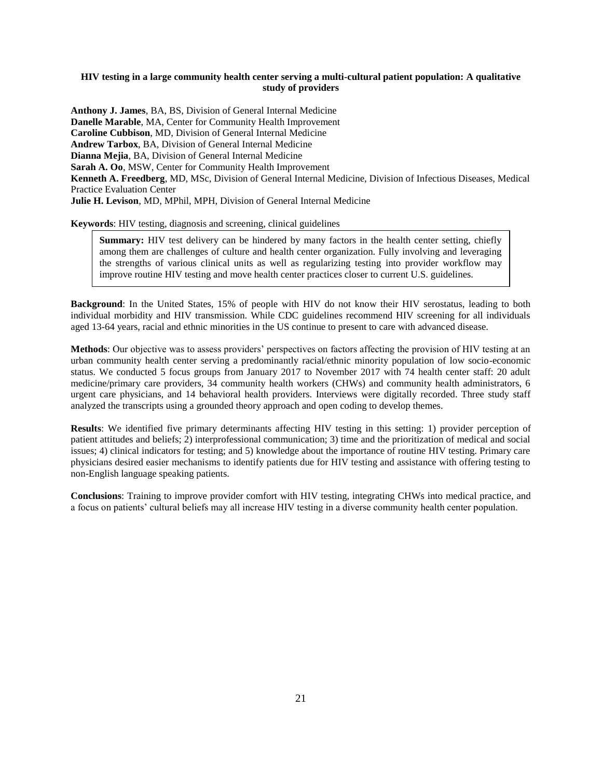# **HIV testing in a large community health center serving a multi-cultural patient population: A qualitative study of providers**

**Anthony J. James**, BA, BS, Division of General Internal Medicine **Danelle Marable**, MA, Center for Community Health Improvement **Caroline Cubbison**, MD, Division of General Internal Medicine **Andrew Tarbox**, BA, Division of General Internal Medicine **Dianna Mejia**, BA, Division of General Internal Medicine **Sarah A. Oo**, MSW, Center for Community Health Improvement **Kenneth A. Freedberg**, MD, MSc, Division of General Internal Medicine, Division of Infectious Diseases, Medical Practice Evaluation Center **Julie H. Levison**, MD, MPhil, MPH, Division of General Internal Medicine

**Keywords**: HIV testing, diagnosis and screening, clinical guidelines

**Summary:** HIV test delivery can be hindered by many factors in the health center setting, chiefly among them are challenges of culture and health center organization. Fully involving and leveraging the strengths of various clinical units as well as regularizing testing into provider workflow may improve routine HIV testing and move health center practices closer to current U.S. guidelines.

**Background**: In the United States, 15% of people with HIV do not know their HIV serostatus, leading to both individual morbidity and HIV transmission. While CDC guidelines recommend HIV screening for all individuals aged 13-64 years, racial and ethnic minorities in the US continue to present to care with advanced disease.

**Methods**: Our objective was to assess providers' perspectives on factors affecting the provision of HIV testing at an urban community health center serving a predominantly racial/ethnic minority population of low socio-economic status. We conducted 5 focus groups from January 2017 to November 2017 with 74 health center staff: 20 adult medicine/primary care providers, 34 community health workers (CHWs) and community health administrators, 6 urgent care physicians, and 14 behavioral health providers. Interviews were digitally recorded. Three study staff analyzed the transcripts using a grounded theory approach and open coding to develop themes.

**Results**: We identified five primary determinants affecting HIV testing in this setting: 1) provider perception of patient attitudes and beliefs; 2) interprofessional communication; 3) time and the prioritization of medical and social issues; 4) clinical indicators for testing; and 5) knowledge about the importance of routine HIV testing. Primary care physicians desired easier mechanisms to identify patients due for HIV testing and assistance with offering testing to non-English language speaking patients.

**Conclusions**: Training to improve provider comfort with HIV testing, integrating CHWs into medical practice, and a focus on patients' cultural beliefs may all increase HIV testing in a diverse community health center population.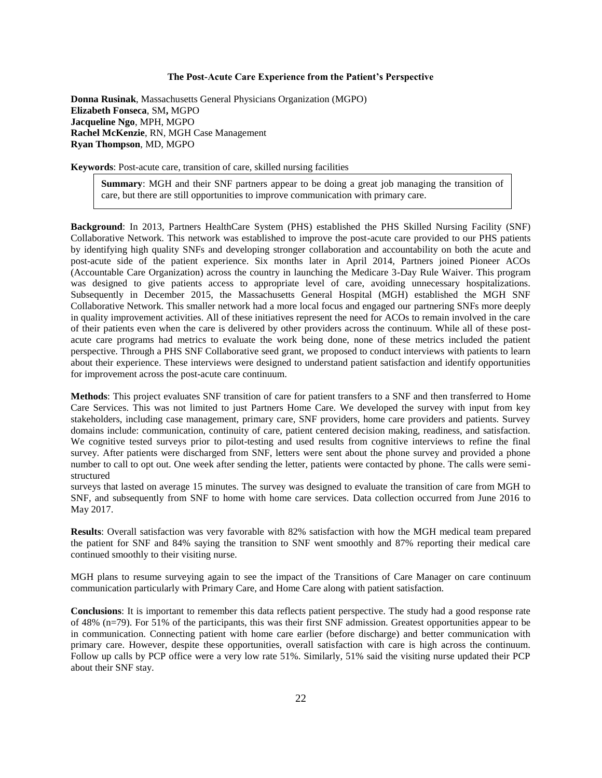#### **The Post-Acute Care Experience from the Patient's Perspective**

**Donna Rusinak**, Massachusetts General Physicians Organization (MGPO) **Elizabeth Fonseca**, SM**,** MGPO **Jacqueline Ngo**, MPH, MGPO **Rachel McKenzie**, RN, MGH Case Management **Ryan Thompson**, MD, MGPO

**Keywords**: Post-acute care, transition of care, skilled nursing facilities

**Summary**: MGH and their SNF partners appear to be doing a great job managing the transition of care, but there are still opportunities to improve communication with primary care.

**Background**: In 2013, Partners HealthCare System (PHS) established the PHS Skilled Nursing Facility (SNF) Collaborative Network. This network was established to improve the post-acute care provided to our PHS patients by identifying high quality SNFs and developing stronger collaboration and accountability on both the acute and post-acute side of the patient experience. Six months later in April 2014, Partners joined Pioneer ACOs (Accountable Care Organization) across the country in launching the Medicare 3-Day Rule Waiver. This program was designed to give patients access to appropriate level of care, avoiding unnecessary hospitalizations. Subsequently in December 2015, the Massachusetts General Hospital (MGH) established the MGH SNF Collaborative Network. This smaller network had a more local focus and engaged our partnering SNFs more deeply in quality improvement activities. All of these initiatives represent the need for ACOs to remain involved in the care of their patients even when the care is delivered by other providers across the continuum. While all of these postacute care programs had metrics to evaluate the work being done, none of these metrics included the patient perspective. Through a PHS SNF Collaborative seed grant, we proposed to conduct interviews with patients to learn about their experience. These interviews were designed to understand patient satisfaction and identify opportunities for improvement across the post-acute care continuum.

**Methods**: This project evaluates SNF transition of care for patient transfers to a SNF and then transferred to Home Care Services. This was not limited to just Partners Home Care. We developed the survey with input from key stakeholders, including case management, primary care, SNF providers, home care providers and patients. Survey domains include: communication, continuity of care, patient centered decision making, readiness, and satisfaction. We cognitive tested surveys prior to pilot-testing and used results from cognitive interviews to refine the final survey. After patients were discharged from SNF, letters were sent about the phone survey and provided a phone number to call to opt out. One week after sending the letter, patients were contacted by phone. The calls were semistructured

surveys that lasted on average 15 minutes. The survey was designed to evaluate the transition of care from MGH to SNF, and subsequently from SNF to home with home care services. Data collection occurred from June 2016 to May 2017.

**Results**: Overall satisfaction was very favorable with 82% satisfaction with how the MGH medical team prepared the patient for SNF and 84% saying the transition to SNF went smoothly and 87% reporting their medical care continued smoothly to their visiting nurse.

MGH plans to resume surveying again to see the impact of the Transitions of Care Manager on care continuum communication particularly with Primary Care, and Home Care along with patient satisfaction.

**Conclusions**: It is important to remember this data reflects patient perspective. The study had a good response rate of 48% (n=79). For 51% of the participants, this was their first SNF admission. Greatest opportunities appear to be in communication. Connecting patient with home care earlier (before discharge) and better communication with primary care. However, despite these opportunities, overall satisfaction with care is high across the continuum. Follow up calls by PCP office were a very low rate 51%. Similarly, 51% said the visiting nurse updated their PCP about their SNF stay.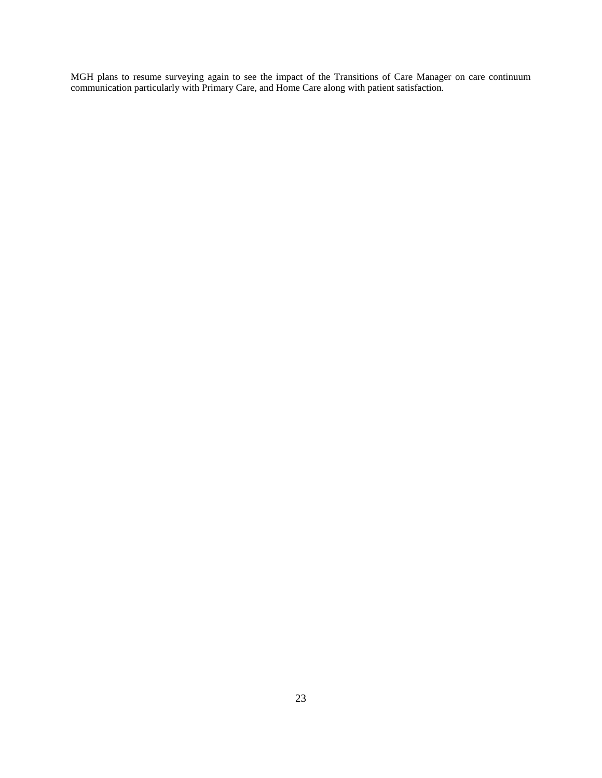MGH plans to resume surveying again to see the impact of the Transitions of Care Manager on care continuum communication particularly with Primary Care, and Home Care along with patient satisfaction.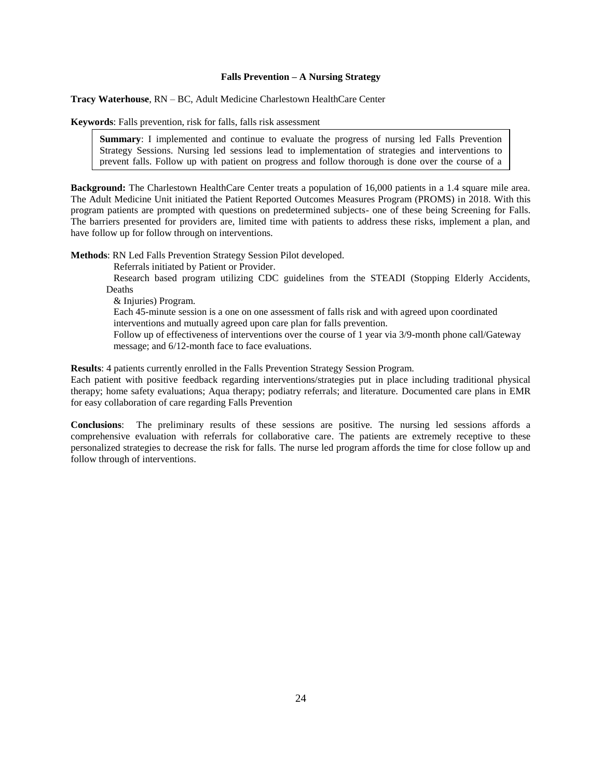#### **Falls Prevention – A Nursing Strategy**

**Tracy Waterhouse**, RN – BC, Adult Medicine Charlestown HealthCare Center

**Keywords**: Falls prevention, risk for falls, falls risk assessment

**Summary**: I implemented and continue to evaluate the progress of nursing led Falls Prevention Strategy Sessions. Nursing led sessions lead to implementation of strategies and interventions to prevent falls. Follow up with patient on progress and follow thorough is done over the course of a

**Background:** The Charlestown HealthCare Center treats a population of 16,000 patients in a 1.4 square mile area. The Adult Medicine Unit initiated the Patient Reported Outcomes Measures Program (PROMS) in 2018. With this program patients are prompted with questions on predetermined subjects- one of these being Screening for Falls. The barriers presented for providers are, limited time with patients to address these risks, implement a plan, and have follow up for follow through on interventions.

**Methods**: RN Led Falls Prevention Strategy Session Pilot developed.

Referrals initiated by Patient or Provider.

 Research based program utilizing CDC guidelines from the STEADI (Stopping Elderly Accidents, Deaths

& Injuries) Program.

year.

 Each 45-minute session is a one on one assessment of falls risk and with agreed upon coordinated interventions and mutually agreed upon care plan for falls prevention.

 Follow up of effectiveness of interventions over the course of 1 year via 3/9-month phone call/Gateway message; and 6/12-month face to face evaluations.

**Results**: 4 patients currently enrolled in the Falls Prevention Strategy Session Program.

Each patient with positive feedback regarding interventions/strategies put in place including traditional physical therapy; home safety evaluations; Aqua therapy; podiatry referrals; and literature. Documented care plans in EMR for easy collaboration of care regarding Falls Prevention

**Conclusions**: The preliminary results of these sessions are positive. The nursing led sessions affords a comprehensive evaluation with referrals for collaborative care. The patients are extremely receptive to these personalized strategies to decrease the risk for falls. The nurse led program affords the time for close follow up and follow through of interventions.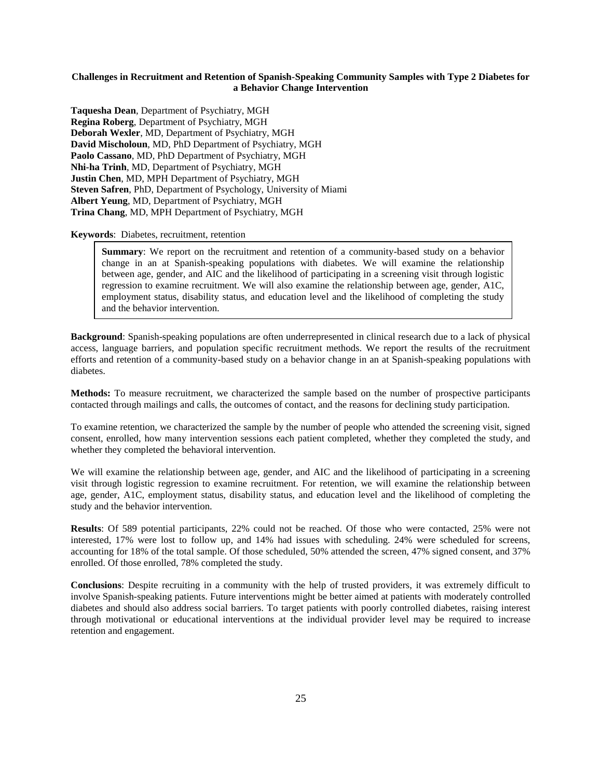# **Challenges in Recruitment and Retention of Spanish-Speaking Community Samples with Type 2 Diabetes for a Behavior Change Intervention**

**Taquesha Dean**, Department of Psychiatry, MGH **Regina Roberg**, Department of Psychiatry, MGH **Deborah Wexler**, MD, Department of Psychiatry, MGH **David Mischoloun**, MD, PhD Department of Psychiatry, MGH **Paolo Cassano**, MD, PhD Department of Psychiatry, MGH **Nhi-ha Trinh**, MD, Department of Psychiatry, MGH **Justin Chen**, MD, MPH Department of Psychiatry, MGH **Steven Safren**, PhD, Department of Psychology, University of Miami **Albert Yeung**, MD, Department of Psychiatry, MGH **Trina Chang**, MD, MPH Department of Psychiatry, MGH

#### **Keywords**: Diabetes, recruitment, retention

**Summary**: We report on the recruitment and retention of a community-based study on a behavior change in an at Spanish-speaking populations with diabetes. We will examine the relationship between age, gender, and AIC and the likelihood of participating in a screening visit through logistic regression to examine recruitment. We will also examine the relationship between age, gender, A1C, employment status, disability status, and education level and the likelihood of completing the study and the behavior intervention.

**Background**: Spanish-speaking populations are often underrepresented in clinical research due to a lack of physical access, language barriers, and population specific recruitment methods. We report the results of the recruitment efforts and retention of a community-based study on a behavior change in an at Spanish-speaking populations with diabetes.

**Methods:** To measure recruitment, we characterized the sample based on the number of prospective participants contacted through mailings and calls, the outcomes of contact, and the reasons for declining study participation.

To examine retention, we characterized the sample by the number of people who attended the screening visit, signed consent, enrolled, how many intervention sessions each patient completed, whether they completed the study, and whether they completed the behavioral intervention.

We will examine the relationship between age, gender, and AIC and the likelihood of participating in a screening visit through logistic regression to examine recruitment. For retention, we will examine the relationship between age, gender, A1C, employment status, disability status, and education level and the likelihood of completing the study and the behavior intervention.

**Results**: Of 589 potential participants, 22% could not be reached. Of those who were contacted, 25% were not interested, 17% were lost to follow up, and 14% had issues with scheduling. 24% were scheduled for screens, accounting for 18% of the total sample. Of those scheduled, 50% attended the screen, 47% signed consent, and 37% enrolled. Of those enrolled, 78% completed the study.

**Conclusions**: Despite recruiting in a community with the help of trusted providers, it was extremely difficult to involve Spanish-speaking patients. Future interventions might be better aimed at patients with moderately controlled diabetes and should also address social barriers. To target patients with poorly controlled diabetes, raising interest through motivational or educational interventions at the individual provider level may be required to increase retention and engagement.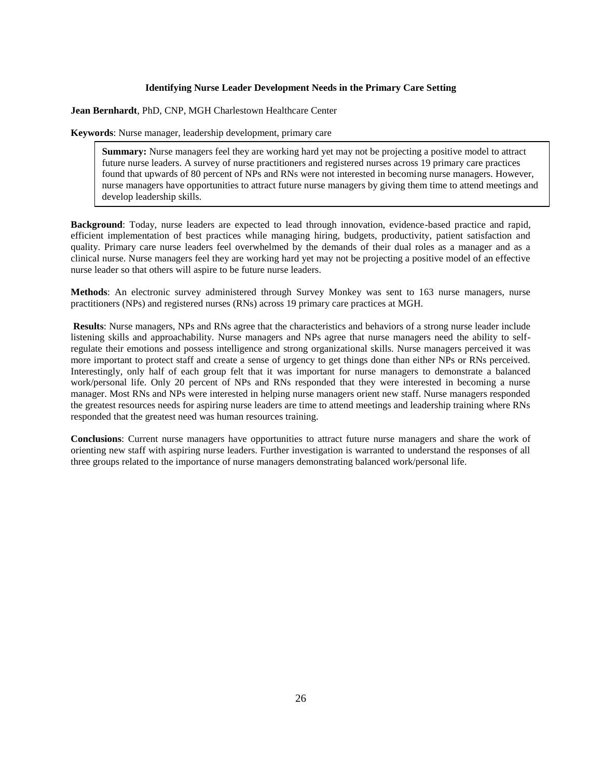#### **Identifying Nurse Leader Development Needs in the Primary Care Setting**

**Jean Bernhardt**, PhD, CNP, MGH Charlestown Healthcare Center

**Keywords**: Nurse manager, leadership development, primary care

**Summary:** Nurse managers feel they are working hard yet may not be projecting a positive model to attract future nurse leaders. A survey of nurse practitioners and registered nurses across 19 primary care practices found that upwards of 80 percent of NPs and RNs were not interested in becoming nurse managers. However, nurse managers have opportunities to attract future nurse managers by giving them time to attend meetings and develop leadership skills.

**Background**: Today, nurse leaders are expected to lead through innovation, evidence-based practice and rapid, efficient implementation of best practices while managing hiring, budgets, productivity, patient satisfaction and quality. Primary care nurse leaders feel overwhelmed by the demands of their dual roles as a manager and as a clinical nurse. Nurse managers feel they are working hard yet may not be projecting a positive model of an effective nurse leader so that others will aspire to be future nurse leaders.

**Methods**: An electronic survey administered through Survey Monkey was sent to 163 nurse managers, nurse practitioners (NPs) and registered nurses (RNs) across 19 primary care practices at MGH.

**Results**: Nurse managers, NPs and RNs agree that the characteristics and behaviors of a strong nurse leader include listening skills and approachability. Nurse managers and NPs agree that nurse managers need the ability to selfregulate their emotions and possess intelligence and strong organizational skills. Nurse managers perceived it was more important to protect staff and create a sense of urgency to get things done than either NPs or RNs perceived. Interestingly, only half of each group felt that it was important for nurse managers to demonstrate a balanced work/personal life. Only 20 percent of NPs and RNs responded that they were interested in becoming a nurse manager. Most RNs and NPs were interested in helping nurse managers orient new staff. Nurse managers responded the greatest resources needs for aspiring nurse leaders are time to attend meetings and leadership training where RNs responded that the greatest need was human resources training.

**Conclusions**: Current nurse managers have opportunities to attract future nurse managers and share the work of orienting new staff with aspiring nurse leaders. Further investigation is warranted to understand the responses of all three groups related to the importance of nurse managers demonstrating balanced work/personal life.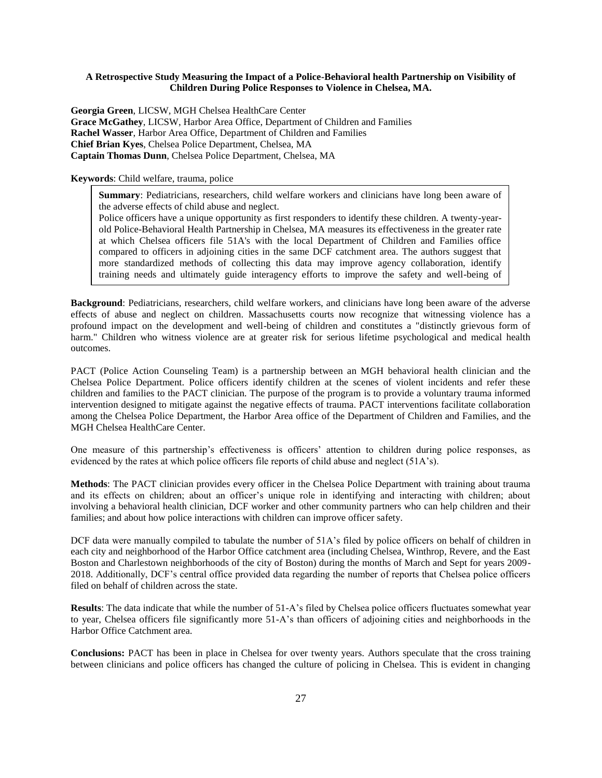# **A Retrospective Study Measuring the Impact of a Police-Behavioral health Partnership on Visibility of Children During Police Responses to Violence in Chelsea, MA.**

**Georgia Green**, LICSW, MGH Chelsea HealthCare Center **Grace McGathey**, LICSW, Harbor Area Office, Department of Children and Families **Rachel Wasser**, Harbor Area Office, Department of Children and Families **Chief Brian Kyes**, Chelsea Police Department, Chelsea, MA **Captain Thomas Dunn**, Chelsea Police Department, Chelsea, MA

# **Keywords**: Child welfare, trauma, police

children.<br>Children.

**Summary**: Pediatricians, researchers, child welfare workers and clinicians have long been aware of the adverse effects of child abuse and neglect.

Police officers have a unique opportunity as first responders to identify these children. A twenty-yearold Police-Behavioral Health Partnership in Chelsea, MA measures its effectiveness in the greater rate at which Chelsea officers file 51A's with the local Department of Children and Families office compared to officers in adjoining cities in the same DCF catchment area. The authors suggest that more standardized methods of collecting this data may improve agency collaboration, identify training needs and ultimately guide interagency efforts to improve the safety and well-being of

**Background**: Pediatricians, researchers, child welfare workers, and clinicians have long been aware of the adverse effects of abuse and neglect on children. Massachusetts courts now recognize that witnessing violence has a profound impact on the development and well-being of children and constitutes a "distinctly grievous form of harm." Children who witness violence are at greater risk for serious lifetime psychological and medical health outcomes.

PACT (Police Action Counseling Team) is a partnership between an MGH behavioral health clinician and the Chelsea Police Department. Police officers identify children at the scenes of violent incidents and refer these children and families to the PACT clinician. The purpose of the program is to provide a voluntary trauma informed intervention designed to mitigate against the negative effects of trauma. PACT interventions facilitate collaboration among the Chelsea Police Department, the Harbor Area office of the Department of Children and Families, and the MGH Chelsea HealthCare Center.

One measure of this partnership's effectiveness is officers' attention to children during police responses, as evidenced by the rates at which police officers file reports of child abuse and neglect (51A's).

**Methods**: The PACT clinician provides every officer in the Chelsea Police Department with training about trauma and its effects on children; about an officer's unique role in identifying and interacting with children; about involving a behavioral health clinician, DCF worker and other community partners who can help children and their families; and about how police interactions with children can improve officer safety.

DCF data were manually compiled to tabulate the number of 51A's filed by police officers on behalf of children in each city and neighborhood of the Harbor Office catchment area (including Chelsea, Winthrop, Revere, and the East Boston and Charlestown neighborhoods of the city of Boston) during the months of March and Sept for years 2009- 2018. Additionally, DCF's central office provided data regarding the number of reports that Chelsea police officers filed on behalf of children across the state.

**Results**: The data indicate that while the number of 51-A's filed by Chelsea police officers fluctuates somewhat year to year, Chelsea officers file significantly more 51-A's than officers of adjoining cities and neighborhoods in the Harbor Office Catchment area.

**Conclusions:** PACT has been in place in Chelsea for over twenty years. Authors speculate that the cross training between clinicians and police officers has changed the culture of policing in Chelsea. This is evident in changing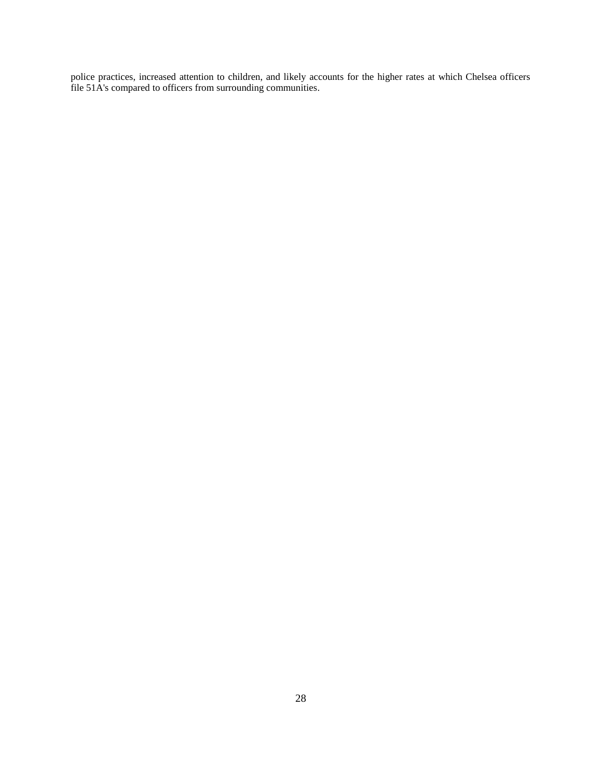police practices, increased attention to children, and likely accounts for the higher rates at which Chelsea officers file 51A's compared to officers from surrounding communities.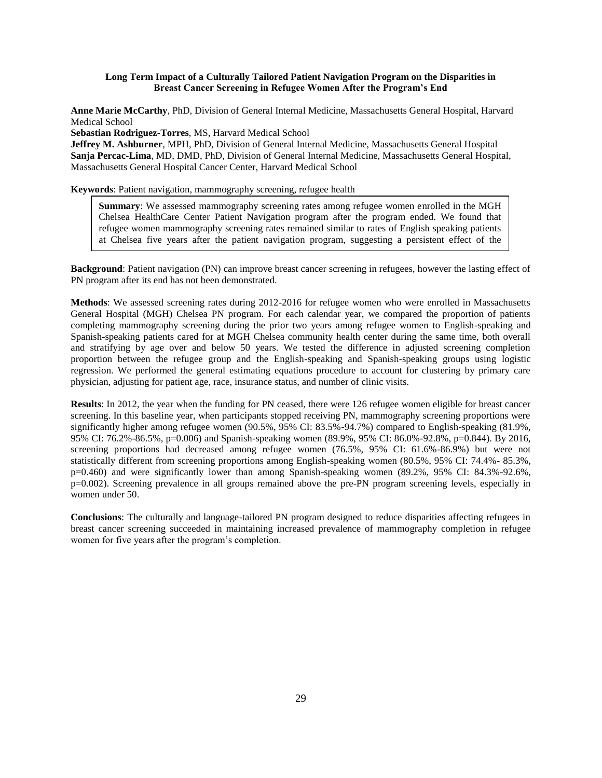# **Long Term Impact of a Culturally Tailored Patient Navigation Program on the Disparities in Breast Cancer Screening in Refugee Women After the Program's End**

**Anne Marie McCarthy**, PhD, Division of General Internal Medicine, Massachusetts General Hospital, Harvard Medical School

**Sebastian Rodriguez-Torres**, MS, Harvard Medical School

intervention.<br>The contract of the contract of the contract of the contract of the contract of the contract of the contract o

**Jeffrey M. Ashburner**, MPH, PhD, Division of General Internal Medicine, Massachusetts General Hospital **Sanja Percac-Lima**, MD, DMD, PhD, Division of General Internal Medicine, Massachusetts General Hospital, Massachusetts General Hospital Cancer Center, Harvard Medical School

**Keywords**: Patient navigation, mammography screening, refugee health

**Summary**: We assessed mammography screening rates among refugee women enrolled in the MGH Chelsea HealthCare Center Patient Navigation program after the program ended. We found that refugee women mammography screening rates remained similar to rates of English speaking patients at Chelsea five years after the patient navigation program, suggesting a persistent effect of the

**Background**: Patient navigation (PN) can improve breast cancer screening in refugees, however the lasting effect of PN program after its end has not been demonstrated.

**Methods**: We assessed screening rates during 2012-2016 for refugee women who were enrolled in Massachusetts General Hospital (MGH) Chelsea PN program. For each calendar year, we compared the proportion of patients completing mammography screening during the prior two years among refugee women to English-speaking and Spanish-speaking patients cared for at MGH Chelsea community health center during the same time, both overall and stratifying by age over and below 50 years. We tested the difference in adjusted screening completion proportion between the refugee group and the English-speaking and Spanish-speaking groups using logistic regression. We performed the general estimating equations procedure to account for clustering by primary care physician, adjusting for patient age, race, insurance status, and number of clinic visits.

**Results**: In 2012, the year when the funding for PN ceased, there were 126 refugee women eligible for breast cancer screening. In this baseline year, when participants stopped receiving PN, mammography screening proportions were significantly higher among refugee women (90.5%, 95% CI: 83.5%-94.7%) compared to English-speaking (81.9%, 95% CI: 76.2%-86.5%, p=0.006) and Spanish-speaking women (89.9%, 95% CI: 86.0%-92.8%, p=0.844). By 2016, screening proportions had decreased among refugee women (76.5%, 95% CI: 61.6%-86.9%) but were not statistically different from screening proportions among English-speaking women (80.5%, 95% CI: 74.4%- 85.3%, p=0.460) and were significantly lower than among Spanish-speaking women (89.2%, 95% CI: 84.3%-92.6%, p=0.002). Screening prevalence in all groups remained above the pre-PN program screening levels, especially in women under 50.

**Conclusions**: The culturally and language-tailored PN program designed to reduce disparities affecting refugees in breast cancer screening succeeded in maintaining increased prevalence of mammography completion in refugee women for five years after the program's completion.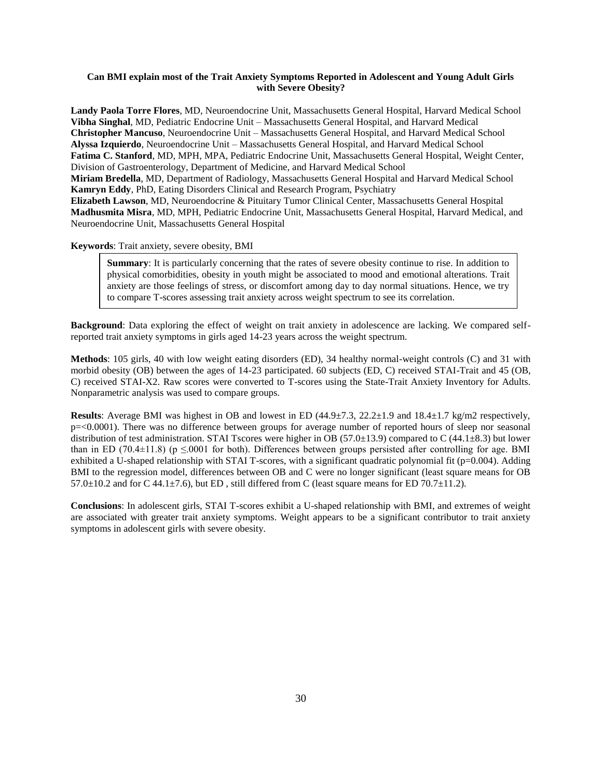# **Can BMI explain most of the Trait Anxiety Symptoms Reported in Adolescent and Young Adult Girls with Severe Obesity?**

**Landy Paola Torre Flores**, MD, Neuroendocrine Unit, Massachusetts General Hospital, Harvard Medical School **Vibha Singhal**, MD, Pediatric Endocrine Unit – Massachusetts General Hospital, and Harvard Medical **Christopher Mancuso**, Neuroendocrine Unit – Massachusetts General Hospital, and Harvard Medical School **Alyssa Izquierdo**, Neuroendocrine Unit – Massachusetts General Hospital, and Harvard Medical School **Fatima C. Stanford**, MD, MPH, MPA, Pediatric Endocrine Unit, Massachusetts General Hospital, Weight Center, Division of Gastroenterology, Department of Medicine, and Harvard Medical School **Miriam Bredella**, MD, Department of Radiology, Massachusetts General Hospital and Harvard Medical School **Kamryn Eddy**, PhD, Eating Disorders Clinical and Research Program, Psychiatry **Elizabeth Lawson**, MD, Neuroendocrine & Pituitary Tumor Clinical Center, Massachusetts General Hospital **Madhusmita Misra**, MD, MPH, Pediatric Endocrine Unit, Massachusetts General Hospital, Harvard Medical, and Neuroendocrine Unit, Massachusetts General Hospital

# **Keywords**: Trait anxiety, severe obesity, BMI

**Summary**: It is particularly concerning that the rates of severe obesity continue to rise. In addition to physical comorbidities, obesity in youth might be associated to mood and emotional alterations. Trait anxiety are those feelings of stress, or discomfort among day to day normal situations. Hence, we try to compare T-scores assessing trait anxiety across weight spectrum to see its correlation.

**Background**: Data exploring the effect of weight on trait anxiety in adolescence are lacking. We compared selfreported trait anxiety symptoms in girls aged 14-23 years across the weight spectrum.

**Methods**: 105 girls, 40 with low weight eating disorders (ED), 34 healthy normal-weight controls (C) and 31 with morbid obesity (OB) between the ages of 14-23 participated. 60 subjects (ED, C) received STAI-Trait and 45 (OB, C) received STAI-X2. Raw scores were converted to T-scores using the State-Trait Anxiety Inventory for Adults. Nonparametric analysis was used to compare groups.

**Results**: Average BMI was highest in OB and lowest in ED (44.9±7.3, 22.2±1.9 and 18.4±1.7 kg/m2 respectively, p=<0.0001). There was no difference between groups for average number of reported hours of sleep nor seasonal distribution of test administration. STAI Tscores were higher in OB (57.0±13.9) compared to C (44.1±8.3) but lower than in ED (70.4 $\pm$ 11.8) (p  $\leq$ .0001 for both). Differences between groups persisted after controlling for age. BMI exhibited a U-shaped relationship with STAI T-scores, with a significant quadratic polynomial fit (p=0.004). Adding BMI to the regression model, differences between OB and C were no longer significant (least square means for OB 57.0 $\pm$ 10.2 and for C 44.1 $\pm$ 7.6), but ED, still differed from C (least square means for ED 70.7 $\pm$ 11.2).

**Conclusions**: In adolescent girls, STAI T-scores exhibit a U-shaped relationship with BMI, and extremes of weight are associated with greater trait anxiety symptoms. Weight appears to be a significant contributor to trait anxiety symptoms in adolescent girls with severe obesity.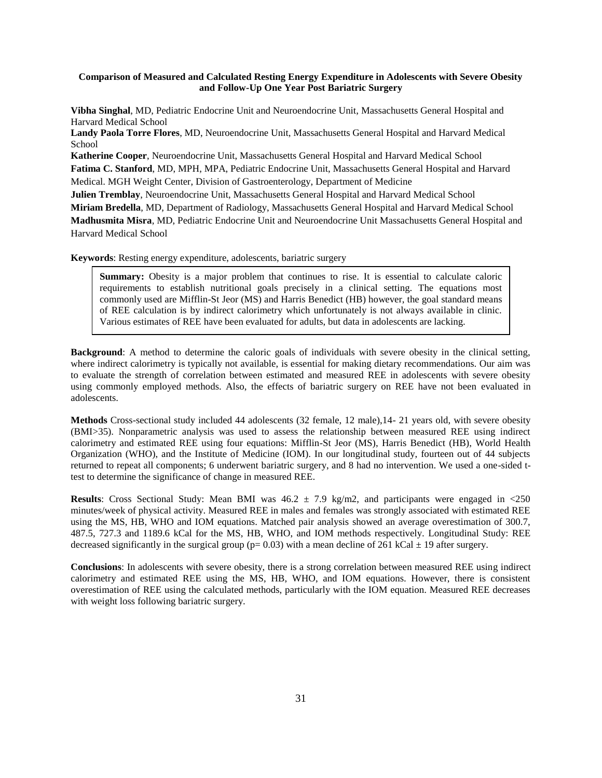# **Comparison of Measured and Calculated Resting Energy Expenditure in Adolescents with Severe Obesity and Follow-Up One Year Post Bariatric Surgery**

**Vibha Singhal**, MD, Pediatric Endocrine Unit and Neuroendocrine Unit, Massachusetts General Hospital and Harvard Medical School

**Landy Paola Torre Flores**, MD, Neuroendocrine Unit, Massachusetts General Hospital and Harvard Medical School

**Katherine Cooper**, Neuroendocrine Unit, Massachusetts General Hospital and Harvard Medical School **Fatima C. Stanford**, MD, MPH, MPA, Pediatric Endocrine Unit, Massachusetts General Hospital and Harvard Medical. MGH Weight Center, Division of Gastroenterology, Department of Medicine

**Julien Tremblay**, Neuroendocrine Unit, Massachusetts General Hospital and Harvard Medical School **Miriam Bredella**, MD, Department of Radiology, Massachusetts General Hospital and Harvard Medical School **Madhusmita Misra**, MD, Pediatric Endocrine Unit and Neuroendocrine Unit Massachusetts General Hospital and Harvard Medical School

**Keywords**: Resting energy expenditure, adolescents, bariatric surgery

**Summary:** Obesity is a major problem that continues to rise. It is essential to calculate caloric requirements to establish nutritional goals precisely in a clinical setting. The equations most commonly used are Mifflin-St Jeor (MS) and Harris Benedict (HB) however, the goal standard means of REE calculation is by indirect calorimetry which unfortunately is not always available in clinic. Various estimates of REE have been evaluated for adults, but data in adolescents are lacking.

**Background**: A method to determine the caloric goals of individuals with severe obesity in the clinical setting, where indirect calorimetry is typically not available, is essential for making dietary recommendations. Our aim was to evaluate the strength of correlation between estimated and measured REE in adolescents with severe obesity using commonly employed methods. Also, the effects of bariatric surgery on REE have not been evaluated in adolescents.

**Methods** Cross-sectional study included 44 adolescents (32 female, 12 male),14- 21 years old, with severe obesity (BMI>35). Nonparametric analysis was used to assess the relationship between measured REE using indirect calorimetry and estimated REE using four equations: Mifflin-St Jeor (MS), Harris Benedict (HB), World Health Organization (WHO), and the Institute of Medicine (IOM). In our longitudinal study, fourteen out of 44 subjects returned to repeat all components; 6 underwent bariatric surgery, and 8 had no intervention. We used a one-sided ttest to determine the significance of change in measured REE.

**Results**: Cross Sectional Study: Mean BMI was  $46.2 \pm 7.9$  kg/m2, and participants were engaged in <250 minutes/week of physical activity. Measured REE in males and females was strongly associated with estimated REE using the MS, HB, WHO and IOM equations. Matched pair analysis showed an average overestimation of 300.7, 487.5, 727.3 and 1189.6 kCal for the MS, HB, WHO, and IOM methods respectively. Longitudinal Study: REE decreased significantly in the surgical group ( $p= 0.03$ ) with a mean decline of 261 kCal  $\pm$  19 after surgery.

**Conclusions**: In adolescents with severe obesity, there is a strong correlation between measured REE using indirect calorimetry and estimated REE using the MS, HB, WHO, and IOM equations. However, there is consistent overestimation of REE using the calculated methods, particularly with the IOM equation. Measured REE decreases with weight loss following bariatric surgery.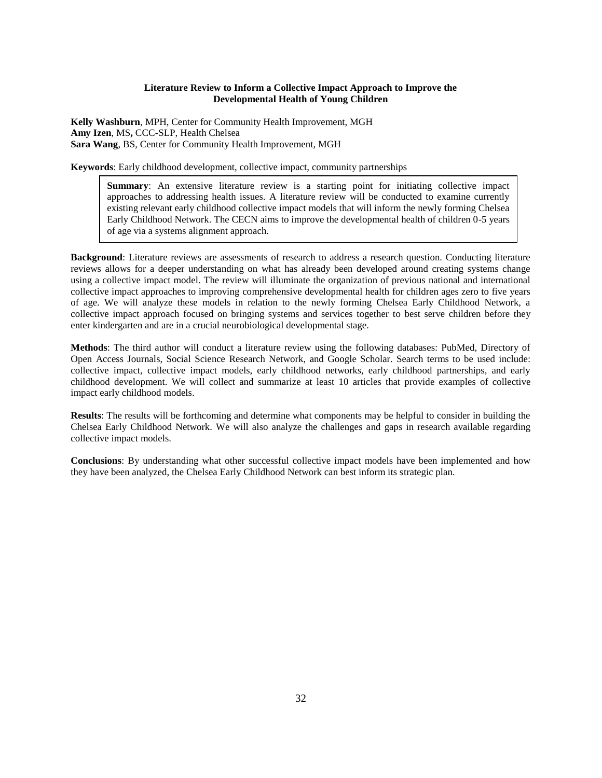#### **Literature Review to Inform a Collective Impact Approach to Improve the Developmental Health of Young Children**

**Kelly Washburn**, MPH, Center for Community Health Improvement, MGH **Amy Izen**, MS**,** CCC-SLP, Health Chelsea **Sara Wang**, BS, Center for Community Health Improvement, MGH

**Keywords**: Early childhood development, collective impact, community partnerships

**Summary:** An extensive literature review is a starting point for initiating collective impact approaches to addressing health issues. A literature review will be conducted to examine currently existing relevant early childhood collective impact models that will inform the newly forming Chelsea Early Childhood Network. The CECN aims to improve the developmental health of children 0-5 years of age via a systems alignment approach.

**Background**: Literature reviews are assessments of research to address a research question. Conducting literature reviews allows for a deeper understanding on what has already been developed around creating systems change using a collective impact model. The review will illuminate the organization of previous national and international collective impact approaches to improving comprehensive developmental health for children ages zero to five years of age. We will analyze these models in relation to the newly forming Chelsea Early Childhood Network, a collective impact approach focused on bringing systems and services together to best serve children before they enter kindergarten and are in a crucial neurobiological developmental stage.

**Methods**: The third author will conduct a literature review using the following databases: PubMed, Directory of Open Access Journals, Social Science Research Network, and Google Scholar. Search terms to be used include: collective impact, collective impact models, early childhood networks, early childhood partnerships, and early childhood development. We will collect and summarize at least 10 articles that provide examples of collective impact early childhood models.

**Results**: The results will be forthcoming and determine what components may be helpful to consider in building the Chelsea Early Childhood Network. We will also analyze the challenges and gaps in research available regarding collective impact models.

**Conclusions**: By understanding what other successful collective impact models have been implemented and how they have been analyzed, the Chelsea Early Childhood Network can best inform its strategic plan.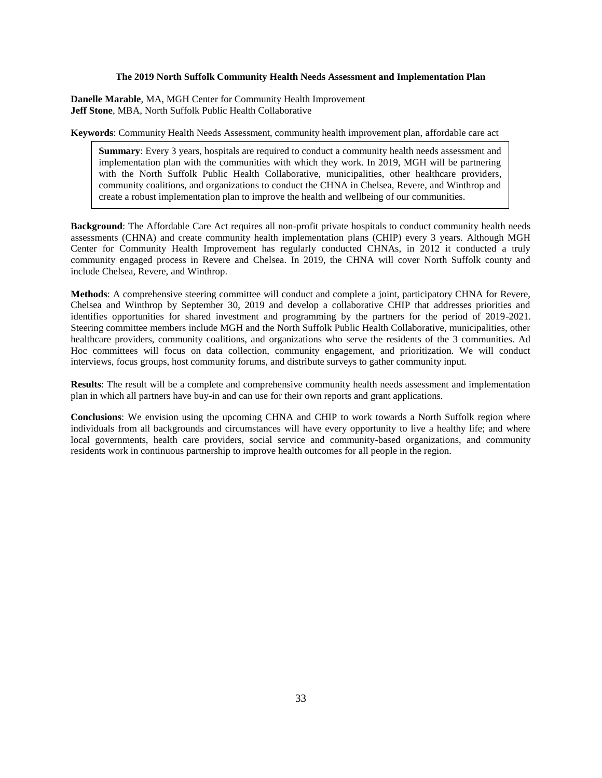#### **The 2019 North Suffolk Community Health Needs Assessment and Implementation Plan**

**Danelle Marable**, MA, MGH Center for Community Health Improvement **Jeff Stone**, MBA, North Suffolk Public Health Collaborative

**Keywords**: Community Health Needs Assessment, community health improvement plan, affordable care act

**Summary**: Every 3 years, hospitals are required to conduct a community health needs assessment and implementation plan with the communities with which they work. In 2019, MGH will be partnering with the North Suffolk Public Health Collaborative, municipalities, other healthcare providers, community coalitions, and organizations to conduct the CHNA in Chelsea, Revere, and Winthrop and create a robust implementation plan to improve the health and wellbeing of our communities.

**Background**: The Affordable Care Act requires all non-profit private hospitals to conduct community health needs assessments (CHNA) and create community health implementation plans (CHIP) every 3 years. Although MGH Center for Community Health Improvement has regularly conducted CHNAs, in 2012 it conducted a truly community engaged process in Revere and Chelsea. In 2019, the CHNA will cover North Suffolk county and include Chelsea, Revere, and Winthrop.

**Methods**: A comprehensive steering committee will conduct and complete a joint, participatory CHNA for Revere, Chelsea and Winthrop by September 30, 2019 and develop a collaborative CHIP that addresses priorities and identifies opportunities for shared investment and programming by the partners for the period of 2019-2021. Steering committee members include MGH and the North Suffolk Public Health Collaborative, municipalities, other healthcare providers, community coalitions, and organizations who serve the residents of the 3 communities. Ad Hoc committees will focus on data collection, community engagement, and prioritization. We will conduct interviews, focus groups, host community forums, and distribute surveys to gather community input.

**Results**: The result will be a complete and comprehensive community health needs assessment and implementation plan in which all partners have buy-in and can use for their own reports and grant applications.

**Conclusions**: We envision using the upcoming CHNA and CHIP to work towards a North Suffolk region where individuals from all backgrounds and circumstances will have every opportunity to live a healthy life; and where local governments, health care providers, social service and community-based organizations, and community residents work in continuous partnership to improve health outcomes for all people in the region.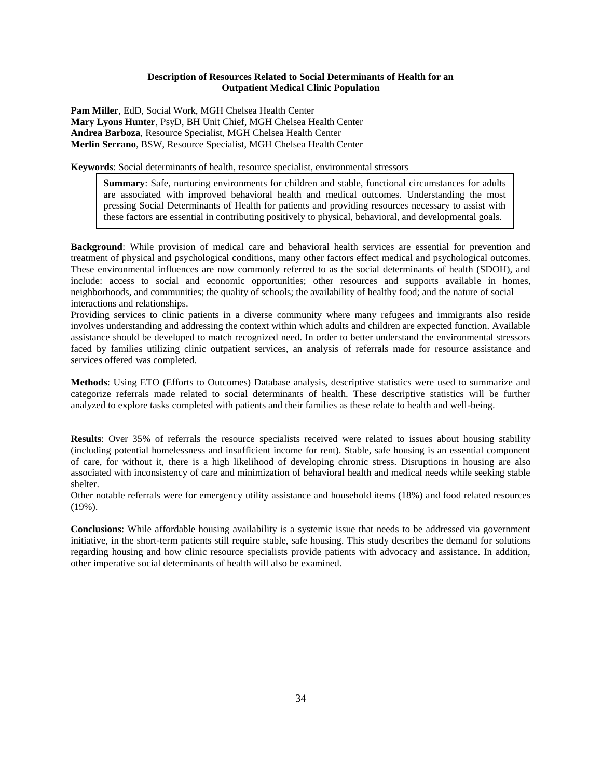# **Description of Resources Related to Social Determinants of Health for an Outpatient Medical Clinic Population**

**Pam Miller**, EdD, Social Work, MGH Chelsea Health Center **Mary Lyons Hunter**, PsyD, BH Unit Chief, MGH Chelsea Health Center **Andrea Barboza**, Resource Specialist, MGH Chelsea Health Center **Merlin Serrano**, BSW, Resource Specialist, MGH Chelsea Health Center

**Keywords**: Social determinants of health, resource specialist, environmental stressors

**Summary**: Safe, nurturing environments for children and stable, functional circumstances for adults are associated with improved behavioral health and medical outcomes. Understanding the most pressing Social Determinants of Health for patients and providing resources necessary to assist with these factors are essential in contributing positively to physical, behavioral, and developmental goals.

**Background**: While provision of medical care and behavioral health services are essential for prevention and treatment of physical and psychological conditions, many other factors effect medical and psychological outcomes. These environmental influences are now commonly referred to as the social determinants of health (SDOH), and include: access to social and economic opportunities; other resources and supports available in homes, neighborhoods, and communities; the quality of schools; the availability of healthy food; and the nature of social interactions and relationships.

Providing services to clinic patients in a diverse community where many refugees and immigrants also reside involves understanding and addressing the context within which adults and children are expected function. Available assistance should be developed to match recognized need. In order to better understand the environmental stressors faced by families utilizing clinic outpatient services, an analysis of referrals made for resource assistance and services offered was completed.

**Methods**: Using ETO (Efforts to Outcomes) Database analysis, descriptive statistics were used to summarize and categorize referrals made related to social determinants of health. These descriptive statistics will be further analyzed to explore tasks completed with patients and their families as these relate to health and well-being.

**Results**: Over 35% of referrals the resource specialists received were related to issues about housing stability (including potential homelessness and insufficient income for rent). Stable, safe housing is an essential component of care, for without it, there is a high likelihood of developing chronic stress. Disruptions in housing are also associated with inconsistency of care and minimization of behavioral health and medical needs while seeking stable shelter.

Other notable referrals were for emergency utility assistance and household items (18%) and food related resources (19%).

**Conclusions**: While affordable housing availability is a systemic issue that needs to be addressed via government initiative, in the short-term patients still require stable, safe housing. This study describes the demand for solutions regarding housing and how clinic resource specialists provide patients with advocacy and assistance. In addition, other imperative social determinants of health will also be examined.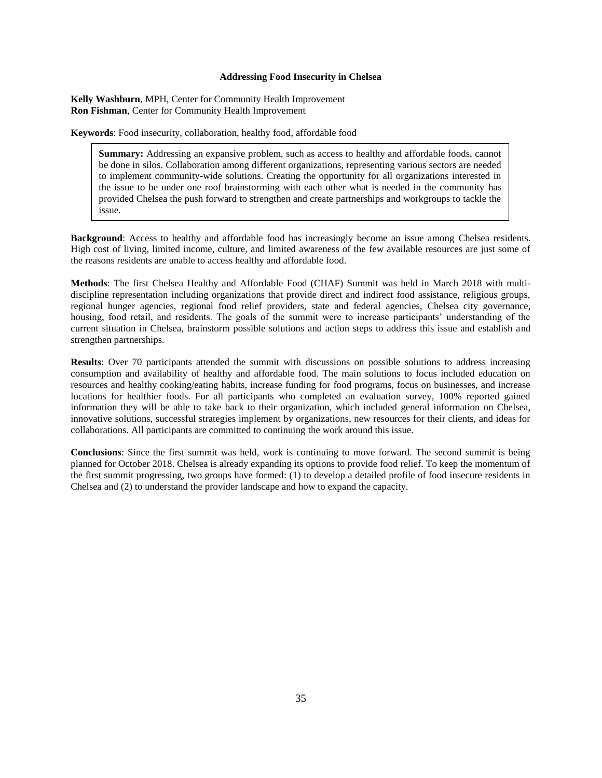# **Addressing Food Insecurity in Chelsea**

**Kelly Washburn**, MPH, Center for Community Health Improvement **Ron Fishman**, Center for Community Health Improvement

**Keywords**: Food insecurity, collaboration, healthy food, affordable food

**Summary:** Addressing an expansive problem, such as access to healthy and affordable foods, cannot be done in silos. Collaboration among different organizations, representing various sectors are needed to implement community-wide solutions. Creating the opportunity for all organizations interested in the issue to be under one roof brainstorming with each other what is needed in the community has provided Chelsea the push forward to strengthen and create partnerships and workgroups to tackle the issue.

**Background**: Access to healthy and affordable food has increasingly become an issue among Chelsea residents. High cost of living, limited income, culture, and limited awareness of the few available resources are just some of the reasons residents are unable to access healthy and affordable food.

**Methods**: The first Chelsea Healthy and Affordable Food (CHAF) Summit was held in March 2018 with multidiscipline representation including organizations that provide direct and indirect food assistance, religious groups, regional hunger agencies, regional food relief providers, state and federal agencies, Chelsea city governance, housing, food retail, and residents. The goals of the summit were to increase participants' understanding of the current situation in Chelsea, brainstorm possible solutions and action steps to address this issue and establish and strengthen partnerships.

**Results**: Over 70 participants attended the summit with discussions on possible solutions to address increasing consumption and availability of healthy and affordable food. The main solutions to focus included education on resources and healthy cooking/eating habits, increase funding for food programs, focus on businesses, and increase locations for healthier foods. For all participants who completed an evaluation survey, 100% reported gained information they will be able to take back to their organization, which included general information on Chelsea, innovative solutions, successful strategies implement by organizations, new resources for their clients, and ideas for collaborations. All participants are committed to continuing the work around this issue.

**Conclusions**: Since the first summit was held, work is continuing to move forward. The second summit is being planned for October 2018. Chelsea is already expanding its options to provide food relief. To keep the momentum of the first summit progressing, two groups have formed: (1) to develop a detailed profile of food insecure residents in Chelsea and (2) to understand the provider landscape and how to expand the capacity.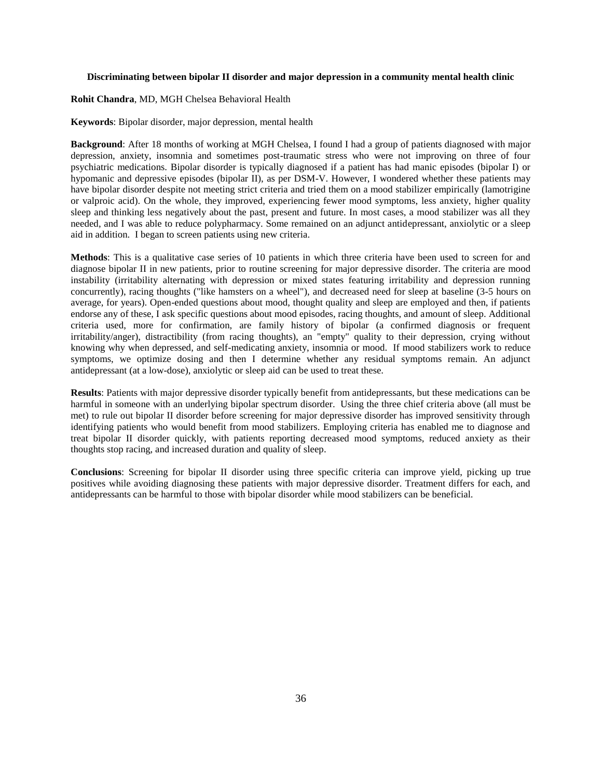#### **Discriminating between bipolar II disorder and major depression in a community mental health clinic**

**Rohit Chandra**, MD, MGH Chelsea Behavioral Health

**Keywords**: Bipolar disorder, major depression, mental health

**Background**: After 18 months of working at MGH Chelsea, I found I had a group of patients diagnosed with major depression, anxiety, insomnia and sometimes post-traumatic stress who were not improving on three of four psychiatric medications. Bipolar disorder is typically diagnosed if a patient has had manic episodes (bipolar I) or hypomanic and depressive episodes (bipolar II), as per DSM-V. However, I wondered whether these patients may have bipolar disorder despite not meeting strict criteria and tried them on a mood stabilizer empirically (lamotrigine or valproic acid). On the whole, they improved, experiencing fewer mood symptoms, less anxiety, higher quality sleep and thinking less negatively about the past, present and future. In most cases, a mood stabilizer was all they needed, and I was able to reduce polypharmacy. Some remained on an adjunct antidepressant, anxiolytic or a sleep aid in addition. I began to screen patients using new criteria.

**Methods**: This is a qualitative case series of 10 patients in which three criteria have been used to screen for and diagnose bipolar II in new patients, prior to routine screening for major depressive disorder. The criteria are mood instability (irritability alternating with depression or mixed states featuring irritability and depression running concurrently), racing thoughts ("like hamsters on a wheel"), and decreased need for sleep at baseline (3-5 hours on average, for years). Open-ended questions about mood, thought quality and sleep are employed and then, if patients endorse any of these, I ask specific questions about mood episodes, racing thoughts, and amount of sleep. Additional criteria used, more for confirmation, are family history of bipolar (a confirmed diagnosis or frequent irritability/anger), distractibility (from racing thoughts), an "empty" quality to their depression, crying without knowing why when depressed, and self-medicating anxiety, insomnia or mood. If mood stabilizers work to reduce symptoms, we optimize dosing and then I determine whether any residual symptoms remain. An adjunct antidepressant (at a low-dose), anxiolytic or sleep aid can be used to treat these.

**Results**: Patients with major depressive disorder typically benefit from antidepressants, but these medications can be harmful in someone with an underlying bipolar spectrum disorder. Using the three chief criteria above (all must be met) to rule out bipolar II disorder before screening for major depressive disorder has improved sensitivity through identifying patients who would benefit from mood stabilizers. Employing criteria has enabled me to diagnose and treat bipolar II disorder quickly, with patients reporting decreased mood symptoms, reduced anxiety as their thoughts stop racing, and increased duration and quality of sleep.

**Conclusions**: Screening for bipolar II disorder using three specific criteria can improve yield, picking up true positives while avoiding diagnosing these patients with major depressive disorder. Treatment differs for each, and antidepressants can be harmful to those with bipolar disorder while mood stabilizers can be beneficial.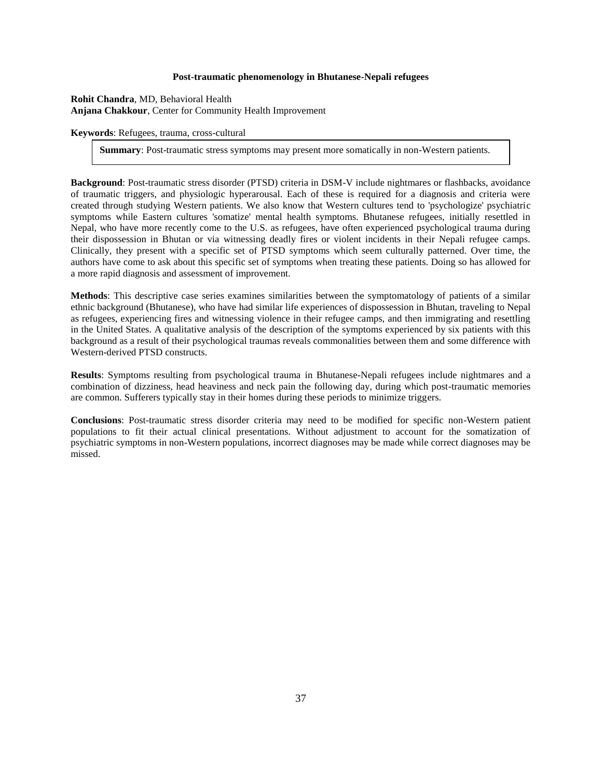#### **Post-traumatic phenomenology in Bhutanese-Nepali refugees**

**Rohit Chandra**, MD, Behavioral Health **Anjana Chakkour**, Center for Community Health Improvement

**Keywords**: Refugees, trauma, cross-cultural

**Summary**: Post-traumatic stress symptoms may present more somatically in non-Western patients.

**Background**: Post-traumatic stress disorder (PTSD) criteria in DSM-V include nightmares or flashbacks, avoidance of traumatic triggers, and physiologic hyperarousal. Each of these is required for a diagnosis and criteria were created through studying Western patients. We also know that Western cultures tend to 'psychologize' psychiatric symptoms while Eastern cultures 'somatize' mental health symptoms. Bhutanese refugees, initially resettled in Nepal, who have more recently come to the U.S. as refugees, have often experienced psychological trauma during their dispossession in Bhutan or via witnessing deadly fires or violent incidents in their Nepali refugee camps. Clinically, they present with a specific set of PTSD symptoms which seem culturally patterned. Over time, the authors have come to ask about this specific set of symptoms when treating these patients. Doing so has allowed for a more rapid diagnosis and assessment of improvement.

**Methods**: This descriptive case series examines similarities between the symptomatology of patients of a similar ethnic background (Bhutanese), who have had similar life experiences of dispossession in Bhutan, traveling to Nepal as refugees, experiencing fires and witnessing violence in their refugee camps, and then immigrating and resettling in the United States. A qualitative analysis of the description of the symptoms experienced by six patients with this background as a result of their psychological traumas reveals commonalities between them and some difference with Western-derived PTSD constructs.

**Results**: Symptoms resulting from psychological trauma in Bhutanese-Nepali refugees include nightmares and a combination of dizziness, head heaviness and neck pain the following day, during which post-traumatic memories are common. Sufferers typically stay in their homes during these periods to minimize triggers.

**Conclusions**: Post-traumatic stress disorder criteria may need to be modified for specific non-Western patient populations to fit their actual clinical presentations. Without adjustment to account for the somatization of psychiatric symptoms in non-Western populations, incorrect diagnoses may be made while correct diagnoses may be missed.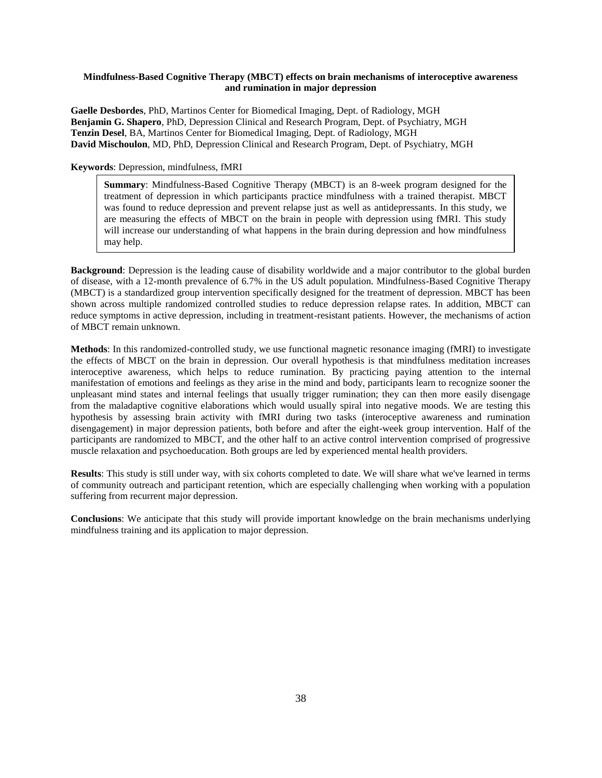# **Mindfulness-Based Cognitive Therapy (MBCT) effects on brain mechanisms of interoceptive awareness and rumination in major depression**

**Gaelle Desbordes**, PhD, Martinos Center for Biomedical Imaging, Dept. of Radiology, MGH **Benjamin G. Shapero**, PhD, Depression Clinical and Research Program, Dept. of Psychiatry, MGH **Tenzin Desel**, BA, Martinos Center for Biomedical Imaging, Dept. of Radiology, MGH **David Mischoulon**, MD, PhD, Depression Clinical and Research Program, Dept. of Psychiatry, MGH

#### **Keywords**: Depression, mindfulness, fMRI

**Summary**: Mindfulness-Based Cognitive Therapy (MBCT) is an 8-week program designed for the treatment of depression in which participants practice mindfulness with a trained therapist. MBCT was found to reduce depression and prevent relapse just as well as antidepressants. In this study, we are measuring the effects of MBCT on the brain in people with depression using fMRI. This study will increase our understanding of what happens in the brain during depression and how mindfulness may help.

**Background**: Depression is the leading cause of disability worldwide and a major contributor to the global burden of disease, with a 12-month prevalence of 6.7% in the US adult population. Mindfulness-Based Cognitive Therapy (MBCT) is a standardized group intervention specifically designed for the treatment of depression. MBCT has been shown across multiple randomized controlled studies to reduce depression relapse rates. In addition, MBCT can reduce symptoms in active depression, including in treatment-resistant patients. However, the mechanisms of action of MBCT remain unknown.

**Methods**: In this randomized-controlled study, we use functional magnetic resonance imaging (fMRI) to investigate the effects of MBCT on the brain in depression. Our overall hypothesis is that mindfulness meditation increases interoceptive awareness, which helps to reduce rumination. By practicing paying attention to the internal manifestation of emotions and feelings as they arise in the mind and body, participants learn to recognize sooner the unpleasant mind states and internal feelings that usually trigger rumination; they can then more easily disengage from the maladaptive cognitive elaborations which would usually spiral into negative moods. We are testing this hypothesis by assessing brain activity with fMRI during two tasks (interoceptive awareness and rumination disengagement) in major depression patients, both before and after the eight-week group intervention. Half of the participants are randomized to MBCT, and the other half to an active control intervention comprised of progressive muscle relaxation and psychoeducation. Both groups are led by experienced mental health providers.

**Results**: This study is still under way, with six cohorts completed to date. We will share what we've learned in terms of community outreach and participant retention, which are especially challenging when working with a population suffering from recurrent major depression.

**Conclusions**: We anticipate that this study will provide important knowledge on the brain mechanisms underlying mindfulness training and its application to major depression.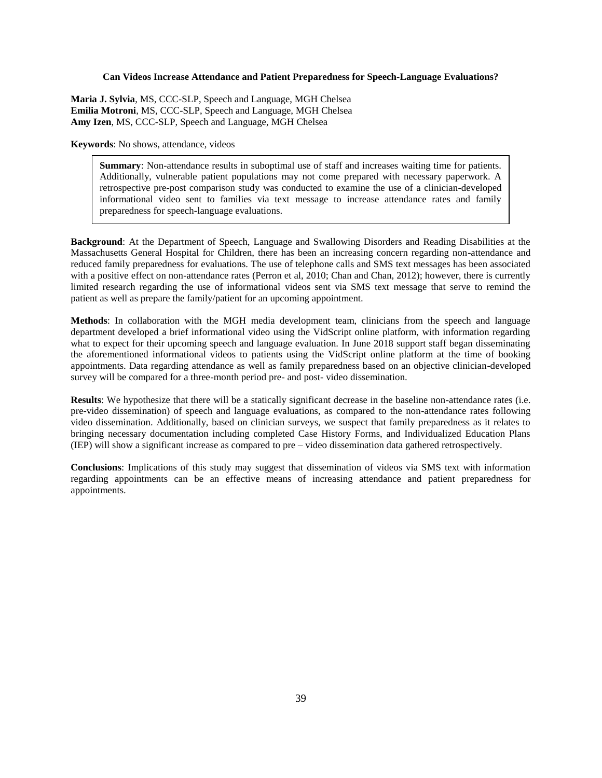### **Can Videos Increase Attendance and Patient Preparedness for Speech-Language Evaluations?**

**Maria J. Sylvia**, MS, CCC-SLP, Speech and Language, MGH Chelsea **Emilia Motroni**, MS, CCC-SLP, Speech and Language, MGH Chelsea **Amy Izen**, MS, CCC-SLP, Speech and Language, MGH Chelsea

**Keywords**: No shows, attendance, videos

**Summary**: Non-attendance results in suboptimal use of staff and increases waiting time for patients. Additionally, vulnerable patient populations may not come prepared with necessary paperwork. A retrospective pre-post comparison study was conducted to examine the use of a clinician-developed informational video sent to families via text message to increase attendance rates and family preparedness for speech-language evaluations.

**Background**: At the Department of Speech, Language and Swallowing Disorders and Reading Disabilities at the Massachusetts General Hospital for Children, there has been an increasing concern regarding non-attendance and reduced family preparedness for evaluations. The use of telephone calls and SMS text messages has been associated with a positive effect on non-attendance rates (Perron et al, 2010; Chan and Chan, 2012); however, there is currently limited research regarding the use of informational videos sent via SMS text message that serve to remind the patient as well as prepare the family/patient for an upcoming appointment.

**Methods**: In collaboration with the MGH media development team, clinicians from the speech and language department developed a brief informational video using the VidScript online platform, with information regarding what to expect for their upcoming speech and language evaluation. In June 2018 support staff began disseminating the aforementioned informational videos to patients using the VidScript online platform at the time of booking appointments. Data regarding attendance as well as family preparedness based on an objective clinician-developed survey will be compared for a three-month period pre- and post- video dissemination.

**Results**: We hypothesize that there will be a statically significant decrease in the baseline non-attendance rates (i.e. pre-video dissemination) of speech and language evaluations, as compared to the non-attendance rates following video dissemination. Additionally, based on clinician surveys, we suspect that family preparedness as it relates to bringing necessary documentation including completed Case History Forms, and Individualized Education Plans (IEP) will show a significant increase as compared to pre – video dissemination data gathered retrospectively.

**Conclusions**: Implications of this study may suggest that dissemination of videos via SMS text with information regarding appointments can be an effective means of increasing attendance and patient preparedness for appointments.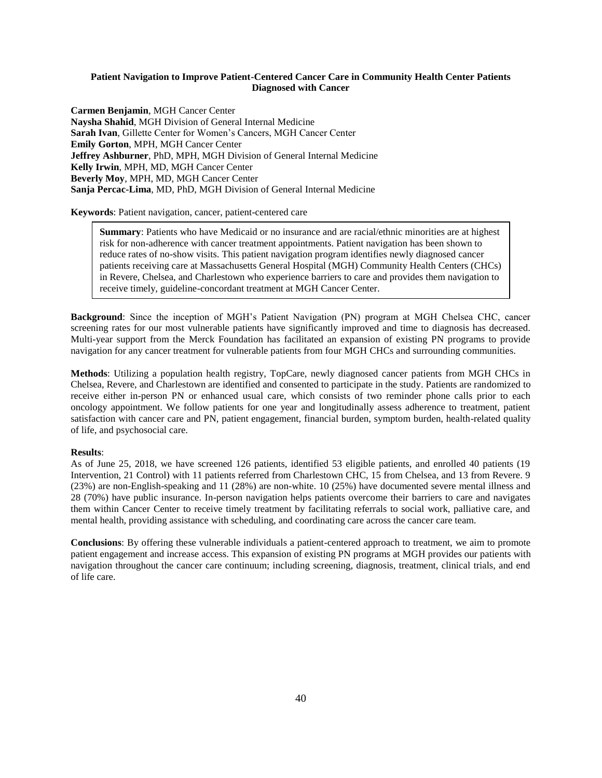# **Patient Navigation to Improve Patient-Centered Cancer Care in Community Health Center Patients Diagnosed with Cancer**

**Carmen Benjamin**, MGH Cancer Center **Naysha Shahid**, MGH Division of General Internal Medicine **Sarah Ivan**, Gillette Center for Women's Cancers, MGH Cancer Center **Emily Gorton**, MPH, MGH Cancer Center **Jeffrey Ashburner**, PhD, MPH, MGH Division of General Internal Medicine **Kelly Irwin**, MPH, MD, MGH Cancer Center **Beverly Moy**, MPH, MD, MGH Cancer Center **Sanja Percac-Lima**, MD, PhD, MGH Division of General Internal Medicine

**Keywords**: Patient navigation, cancer, patient-centered care

**Summary**: Patients who have Medicaid or no insurance and are racial/ethnic minorities are at highest risk for non-adherence with cancer treatment appointments. Patient navigation has been shown to reduce rates of no-show visits. This patient navigation program identifies newly diagnosed cancer patients receiving care at Massachusetts General Hospital (MGH) Community Health Centers (CHCs) in Revere, Chelsea, and Charlestown who experience barriers to care and provides them navigation to receive timely, guideline-concordant treatment at MGH Cancer Center.

**Background**: Since the inception of MGH's Patient Navigation (PN) program at MGH Chelsea CHC, cancer screening rates for our most vulnerable patients have significantly improved and time to diagnosis has decreased. Multi-year support from the Merck Foundation has facilitated an expansion of existing PN programs to provide navigation for any cancer treatment for vulnerable patients from four MGH CHCs and surrounding communities.

**Methods**: Utilizing a population health registry, TopCare, newly diagnosed cancer patients from MGH CHCs in Chelsea, Revere, and Charlestown are identified and consented to participate in the study. Patients are randomized to receive either in-person PN or enhanced usual care, which consists of two reminder phone calls prior to each oncology appointment. We follow patients for one year and longitudinally assess adherence to treatment, patient satisfaction with cancer care and PN, patient engagement, financial burden, symptom burden, health-related quality of life, and psychosocial care.

#### **Results**:

As of June 25, 2018, we have screened 126 patients, identified 53 eligible patients, and enrolled 40 patients (19 Intervention, 21 Control) with 11 patients referred from Charlestown CHC, 15 from Chelsea, and 13 from Revere. 9 (23%) are non-English-speaking and 11 (28%) are non-white. 10 (25%) have documented severe mental illness and 28 (70%) have public insurance. In-person navigation helps patients overcome their barriers to care and navigates them within Cancer Center to receive timely treatment by facilitating referrals to social work, palliative care, and mental health, providing assistance with scheduling, and coordinating care across the cancer care team.

**Conclusions**: By offering these vulnerable individuals a patient-centered approach to treatment, we aim to promote patient engagement and increase access. This expansion of existing PN programs at MGH provides our patients with navigation throughout the cancer care continuum; including screening, diagnosis, treatment, clinical trials, and end of life care.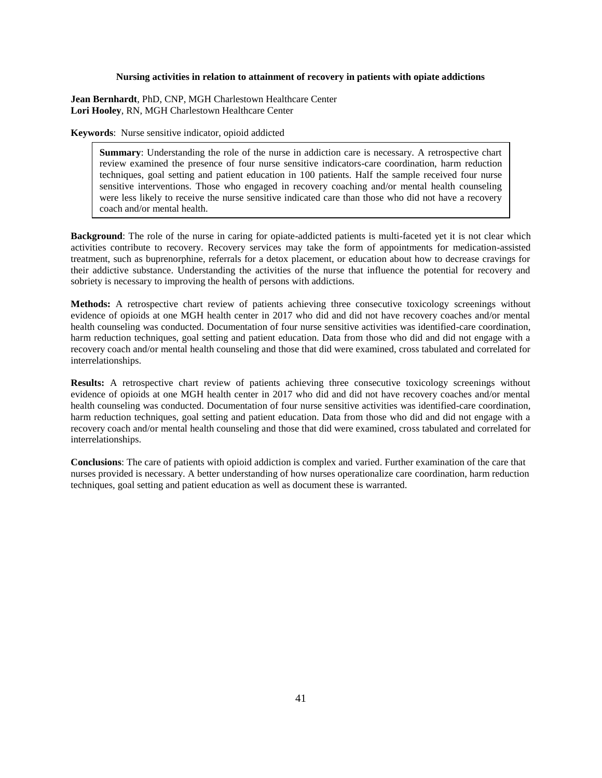#### **Nursing activities in relation to attainment of recovery in patients with opiate addictions**

**Jean Bernhardt**, PhD, CNP, MGH Charlestown Healthcare Center **Lori Hooley**, RN, MGH Charlestown Healthcare Center

**Keywords**: Nurse sensitive indicator, opioid addicted

**Summary**: Understanding the role of the nurse in addiction care is necessary. A retrospective chart review examined the presence of four nurse sensitive indicators-care coordination, harm reduction techniques, goal setting and patient education in 100 patients. Half the sample received four nurse sensitive interventions. Those who engaged in recovery coaching and/or mental health counseling were less likely to receive the nurse sensitive indicated care than those who did not have a recovery coach and/or mental health.

**Background**: The role of the nurse in caring for opiate-addicted patients is multi-faceted yet it is not clear which activities contribute to recovery. Recovery services may take the form of appointments for medication-assisted treatment, such as buprenorphine, referrals for a detox placement, or education about how to decrease cravings for their addictive substance. Understanding the activities of the nurse that influence the potential for recovery and sobriety is necessary to improving the health of persons with addictions.

**Methods:** A retrospective chart review of patients achieving three consecutive toxicology screenings without evidence of opioids at one MGH health center in 2017 who did and did not have recovery coaches and/or mental health counseling was conducted. Documentation of four nurse sensitive activities was identified-care coordination, harm reduction techniques, goal setting and patient education. Data from those who did and did not engage with a recovery coach and/or mental health counseling and those that did were examined, cross tabulated and correlated for interrelationships.

**Results:** A retrospective chart review of patients achieving three consecutive toxicology screenings without evidence of opioids at one MGH health center in 2017 who did and did not have recovery coaches and/or mental health counseling was conducted. Documentation of four nurse sensitive activities was identified-care coordination, harm reduction techniques, goal setting and patient education. Data from those who did and did not engage with a recovery coach and/or mental health counseling and those that did were examined, cross tabulated and correlated for interrelationships.

**Conclusions**: The care of patients with opioid addiction is complex and varied. Further examination of the care that nurses provided is necessary. A better understanding of how nurses operationalize care coordination, harm reduction techniques, goal setting and patient education as well as document these is warranted.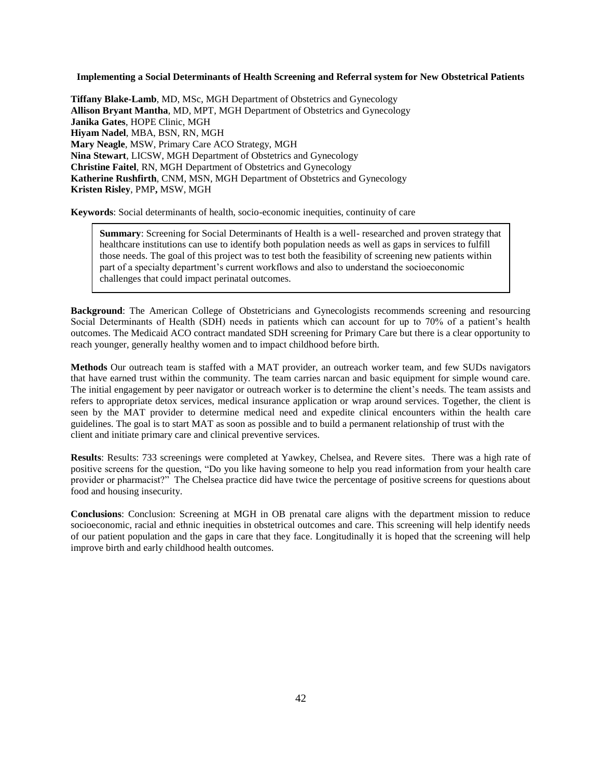**Implementing a Social Determinants of Health Screening and Referral system for New Obstetrical Patients**

**Tiffany Blake-Lamb**, MD, MSc, MGH Department of Obstetrics and Gynecology **Allison Bryant Mantha**, MD, MPT, MGH Department of Obstetrics and Gynecology **Janika Gates**, HOPE Clinic, MGH **Hiyam Nadel**, MBA, BSN, RN, MGH **Mary Neagle**, MSW, Primary Care ACO Strategy, MGH **Nina Stewart**, LICSW, MGH Department of Obstetrics and Gynecology **Christine Faitel**, RN, MGH Department of Obstetrics and Gynecology **Katherine Rushfirth**, CNM, MSN, MGH Department of Obstetrics and Gynecology **Kristen Risley**, PMP**,** MSW, MGH

**Keywords**: Social determinants of health, socio-economic inequities, continuity of care

**Summary**: Screening for Social Determinants of Health is a well- researched and proven strategy that healthcare institutions can use to identify both population needs as well as gaps in services to fulfill those needs. The goal of this project was to test both the feasibility of screening new patients within part of a specialty department's current workflows and also to understand the socioeconomic challenges that could impact perinatal outcomes.

**Background**: The American College of Obstetricians and Gynecologists recommends screening and resourcing Social Determinants of Health (SDH) needs in patients which can account for up to 70% of a patient's health outcomes. The Medicaid ACO contract mandated SDH screening for Primary Care but there is a clear opportunity to reach younger, generally healthy women and to impact childhood before birth.

**Methods** Our outreach team is staffed with a MAT provider, an outreach worker team, and few SUDs navigators that have earned trust within the community. The team carries narcan and basic equipment for simple wound care. The initial engagement by peer navigator or outreach worker is to determine the client's needs. The team assists and refers to appropriate detox services, medical insurance application or wrap around services. Together, the client is seen by the MAT provider to determine medical need and expedite clinical encounters within the health care guidelines. The goal is to start MAT as soon as possible and to build a permanent relationship of trust with the client and initiate primary care and clinical preventive services.

**Results**: Results: 733 screenings were completed at Yawkey, Chelsea, and Revere sites. There was a high rate of positive screens for the question, "Do you like having someone to help you read information from your health care provider or pharmacist?" The Chelsea practice did have twice the percentage of positive screens for questions about food and housing insecurity.

**Conclusions**: Conclusion: Screening at MGH in OB prenatal care aligns with the department mission to reduce socioeconomic, racial and ethnic inequities in obstetrical outcomes and care. This screening will help identify needs of our patient population and the gaps in care that they face. Longitudinally it is hoped that the screening will help improve birth and early childhood health outcomes.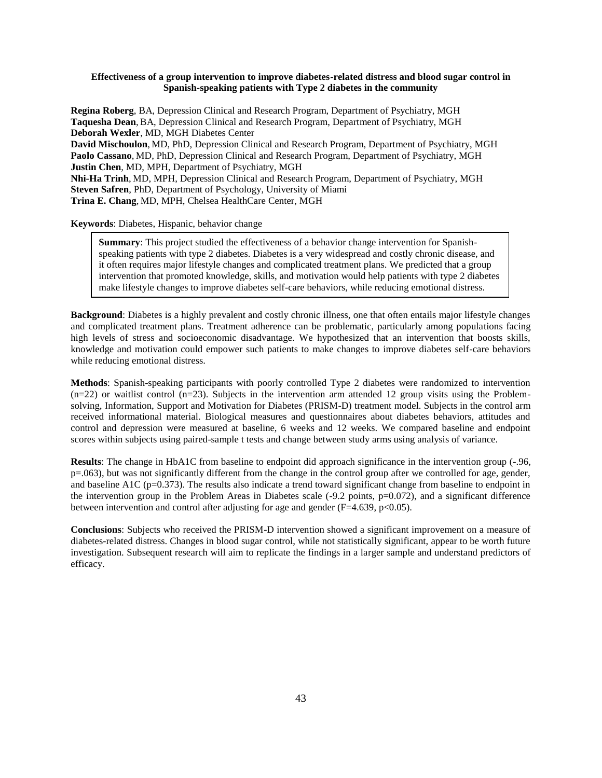# **Effectiveness of a group intervention to improve diabetes-related distress and blood sugar control in Spanish-speaking patients with Type 2 diabetes in the community**

**Regina Roberg**, BA, Depression Clinical and Research Program, Department of Psychiatry, MGH **Taquesha Dean**, BA, Depression Clinical and Research Program, Department of Psychiatry, MGH **Deborah Wexler**, MD, MGH Diabetes Center **David Mischoulon**, MD, PhD, Depression Clinical and Research Program, Department of Psychiatry, MGH **Paolo Cassano**, MD, PhD, Depression Clinical and Research Program, Department of Psychiatry, MGH **Justin Chen**, MD, MPH, Department of Psychiatry, MGH **Nhi-Ha Trinh**, MD, MPH, Depression Clinical and Research Program, Department of Psychiatry, MGH **Steven Safren**, PhD, Department of Psychology, University of Miami **Trina E. Chang**, MD, MPH, Chelsea HealthCare Center, MGH

**Keywords**: Diabetes, Hispanic, behavior change

**Summary**: This project studied the effectiveness of a behavior change intervention for Spanishspeaking patients with type 2 diabetes. Diabetes is a very widespread and costly chronic disease, and it often requires major lifestyle changes and complicated treatment plans. We predicted that a group intervention that promoted knowledge, skills, and motivation would help patients with type 2 diabetes make lifestyle changes to improve diabetes self-care behaviors, while reducing emotional distress.

**Background**: Diabetes is a highly prevalent and costly chronic illness, one that often entails major lifestyle changes and complicated treatment plans. Treatment adherence can be problematic, particularly among populations facing high levels of stress and socioeconomic disadvantage. We hypothesized that an intervention that boosts skills, knowledge and motivation could empower such patients to make changes to improve diabetes self-care behaviors while reducing emotional distress.

**Methods**: Spanish-speaking participants with poorly controlled Type 2 diabetes were randomized to intervention  $(n=22)$  or waitlist control  $(n=23)$ . Subjects in the intervention arm attended 12 group visits using the Problemsolving, Information, Support and Motivation for Diabetes (PRISM-D) treatment model. Subjects in the control arm received informational material. Biological measures and questionnaires about diabetes behaviors, attitudes and control and depression were measured at baseline, 6 weeks and 12 weeks. We compared baseline and endpoint scores within subjects using paired-sample t tests and change between study arms using analysis of variance.

**Results**: The change in HbA1C from baseline to endpoint did approach significance in the intervention group (-.96, p=.063), but was not significantly different from the change in the control group after we controlled for age, gender, and baseline A1C ( $p=0.373$ ). The results also indicate a trend toward significant change from baseline to endpoint in the intervention group in the Problem Areas in Diabetes scale (-9.2 points, p=0.072), and a significant difference between intervention and control after adjusting for age and gender (F=4.639, p<0.05).

**Conclusions**: Subjects who received the PRISM-D intervention showed a significant improvement on a measure of diabetes-related distress. Changes in blood sugar control, while not statistically significant, appear to be worth future investigation. Subsequent research will aim to replicate the findings in a larger sample and understand predictors of efficacy.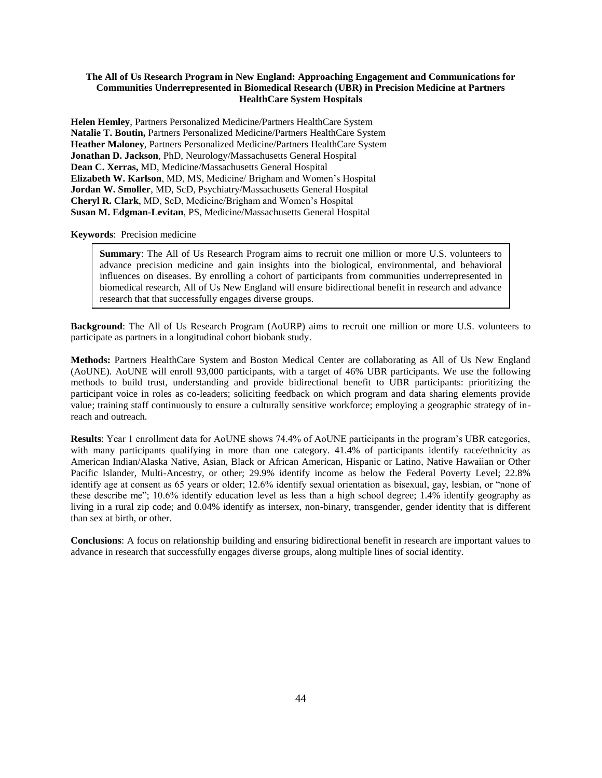# **The All of Us Research Program in New England: Approaching Engagement and Communications for Communities Underrepresented in Biomedical Research (UBR) in Precision Medicine at Partners HealthCare System Hospitals**

**Helen Hemley**, Partners Personalized Medicine/Partners HealthCare System **Natalie T. Boutin,** Partners Personalized Medicine/Partners HealthCare System **Heather Maloney**, Partners Personalized Medicine/Partners HealthCare System **Jonathan D. Jackson**, PhD, Neurology/Massachusetts General Hospital **Dean C. Xerras,** MD, Medicine/Massachusetts General Hospital **Elizabeth W. Karlson**, MD, MS, Medicine/ Brigham and Women's Hospital **Jordan W. Smoller**, MD, ScD, Psychiatry/Massachusetts General Hospital **Cheryl R. Clark**, MD, ScD, Medicine/Brigham and Women's Hospital **Susan M. Edgman-Levitan**, PS, Medicine/Massachusetts General Hospital

#### **Keywords**: Precision medicine

**Summary**: The All of Us Research Program aims to recruit one million or more U.S. volunteers to advance precision medicine and gain insights into the biological, environmental, and behavioral influences on diseases. By enrolling a cohort of participants from communities underrepresented in biomedical research, All of Us New England will ensure bidirectional benefit in research and advance research that that successfully engages diverse groups.

**Background**: The All of Us Research Program (AoURP) aims to recruit one million or more U.S. volunteers to participate as partners in a longitudinal cohort biobank study.

**Methods:** Partners HealthCare System and Boston Medical Center are collaborating as All of Us New England (AoUNE). AoUNE will enroll 93,000 participants, with a target of 46% UBR participants. We use the following methods to build trust, understanding and provide bidirectional benefit to UBR participants: prioritizing the participant voice in roles as co-leaders; soliciting feedback on which program and data sharing elements provide value; training staff continuously to ensure a culturally sensitive workforce; employing a geographic strategy of inreach and outreach.

**Results**: Year 1 enrollment data for AoUNE shows 74.4% of AoUNE participants in the program's UBR categories, with many participants qualifying in more than one category. 41.4% of participants identify race/ethnicity as American Indian/Alaska Native, Asian, Black or African American, Hispanic or Latino, Native Hawaiian or Other Pacific Islander, Multi-Ancestry, or other; 29.9% identify income as below the Federal Poverty Level; 22.8% identify age at consent as 65 years or older; 12.6% identify sexual orientation as bisexual, gay, lesbian, or "none of these describe me"; 10.6% identify education level as less than a high school degree; 1.4% identify geography as living in a rural zip code; and 0.04% identify as intersex, non-binary, transgender, gender identity that is different than sex at birth, or other.

**Conclusions**: A focus on relationship building and ensuring bidirectional benefit in research are important values to advance in research that successfully engages diverse groups, along multiple lines of social identity.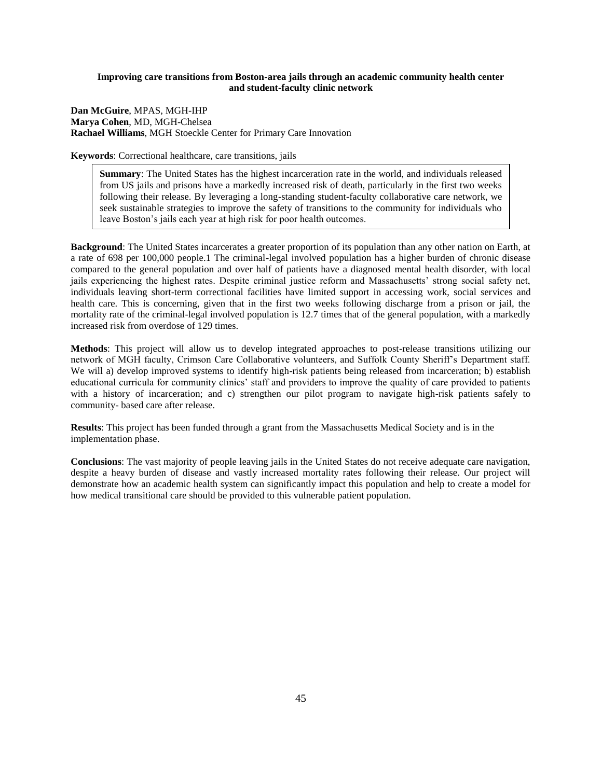# **Improving care transitions from Boston-area jails through an academic community health center and student-faculty clinic network**

**Dan McGuire**, MPAS, MGH-IHP **Marya Cohen**, MD, MGH-Chelsea **Rachael Williams**, MGH Stoeckle Center for Primary Care Innovation

**Keywords**: Correctional healthcare, care transitions, jails

**Summary**: The United States has the highest incarceration rate in the world, and individuals released from US jails and prisons have a markedly increased risk of death, particularly in the first two weeks following their release. By leveraging a long-standing student-faculty collaborative care network, we seek sustainable strategies to improve the safety of transitions to the community for individuals who leave Boston's jails each year at high risk for poor health outcomes.

**Background**: The United States incarcerates a greater proportion of its population than any other nation on Earth, at a rate of 698 per 100,000 people.1 The criminal-legal involved population has a higher burden of chronic disease compared to the general population and over half of patients have a diagnosed mental health disorder, with local jails experiencing the highest rates. Despite criminal justice reform and Massachusetts' strong social safety net, individuals leaving short-term correctional facilities have limited support in accessing work, social services and health care. This is concerning, given that in the first two weeks following discharge from a prison or jail, the mortality rate of the criminal-legal involved population is 12.7 times that of the general population, with a markedly increased risk from overdose of 129 times.

**Methods**: This project will allow us to develop integrated approaches to post-release transitions utilizing our network of MGH faculty, Crimson Care Collaborative volunteers, and Suffolk County Sheriff's Department staff. We will a) develop improved systems to identify high-risk patients being released from incarceration; b) establish educational curricula for community clinics' staff and providers to improve the quality of care provided to patients with a history of incarceration; and c) strengthen our pilot program to navigate high-risk patients safely to community- based care after release.

**Results**: This project has been funded through a grant from the Massachusetts Medical Society and is in the implementation phase.

**Conclusions**: The vast majority of people leaving jails in the United States do not receive adequate care navigation, despite a heavy burden of disease and vastly increased mortality rates following their release. Our project will demonstrate how an academic health system can significantly impact this population and help to create a model for how medical transitional care should be provided to this vulnerable patient population.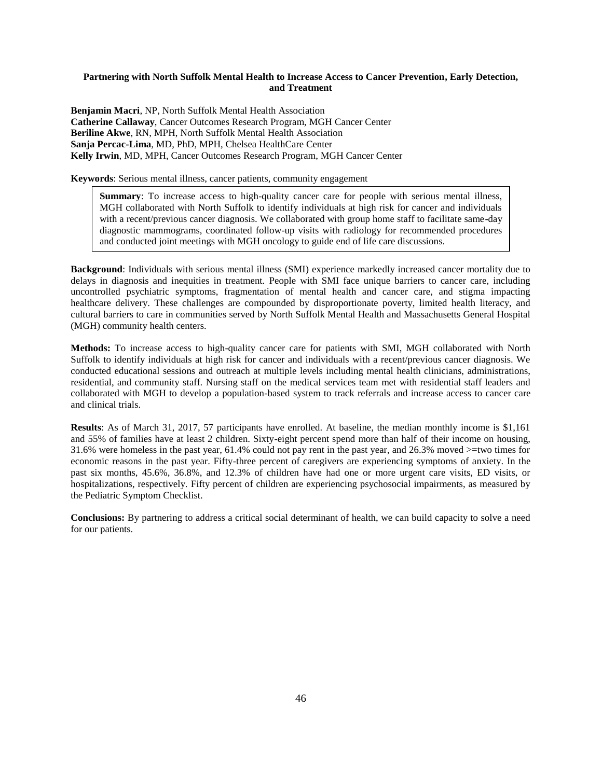# **Partnering with North Suffolk Mental Health to Increase Access to Cancer Prevention, Early Detection, and Treatment**

**Benjamin Macri**, NP, North Suffolk Mental Health Association **Catherine Callaway**, Cancer Outcomes Research Program, MGH Cancer Center **Beriline Akwe**, RN, MPH, North Suffolk Mental Health Association **Sanja Percac-Lima**, MD, PhD, MPH, Chelsea HealthCare Center **Kelly Irwin**, MD, MPH, Cancer Outcomes Research Program, MGH Cancer Center

**Keywords**: Serious mental illness, cancer patients, community engagement

**Summary**: To increase access to high-quality cancer care for people with serious mental illness, MGH collaborated with North Suffolk to identify individuals at high risk for cancer and individuals with a recent/previous cancer diagnosis. We collaborated with group home staff to facilitate same-day diagnostic mammograms, coordinated follow-up visits with radiology for recommended procedures and conducted joint meetings with MGH oncology to guide end of life care discussions.

**Background**: Individuals with serious mental illness (SMI) experience markedly increased cancer mortality due to delays in diagnosis and inequities in treatment. People with SMI face unique barriers to cancer care, including uncontrolled psychiatric symptoms, fragmentation of mental health and cancer care, and stigma impacting healthcare delivery. These challenges are compounded by disproportionate poverty, limited health literacy, and cultural barriers to care in communities served by North Suffolk Mental Health and Massachusetts General Hospital (MGH) community health centers.

**Methods:** To increase access to high-quality cancer care for patients with SMI, MGH collaborated with North Suffolk to identify individuals at high risk for cancer and individuals with a recent/previous cancer diagnosis. We conducted educational sessions and outreach at multiple levels including mental health clinicians, administrations, residential, and community staff. Nursing staff on the medical services team met with residential staff leaders and collaborated with MGH to develop a population-based system to track referrals and increase access to cancer care and clinical trials.

**Results**: As of March 31, 2017, 57 participants have enrolled. At baseline, the median monthly income is \$1,161 and 55% of families have at least 2 children. Sixty-eight percent spend more than half of their income on housing, 31.6% were homeless in the past year, 61.4% could not pay rent in the past year, and 26.3% moved >=two times for economic reasons in the past year. Fifty-three percent of caregivers are experiencing symptoms of anxiety. In the past six months, 45.6%, 36.8%, and 12.3% of children have had one or more urgent care visits, ED visits, or hospitalizations, respectively. Fifty percent of children are experiencing psychosocial impairments, as measured by the Pediatric Symptom Checklist.

**Conclusions:** By partnering to address a critical social determinant of health, we can build capacity to solve a need for our patients.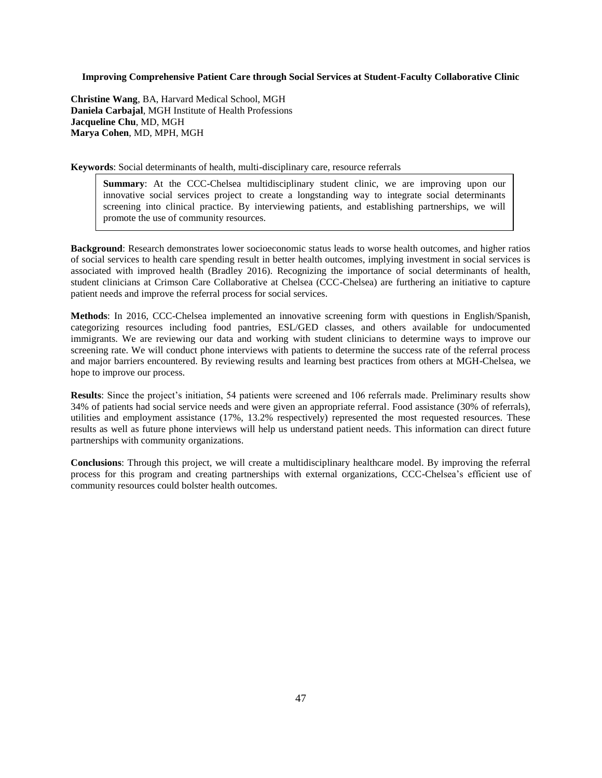# **Improving Comprehensive Patient Care through Social Services at Student-Faculty Collaborative Clinic**

**Christine Wang**, BA, Harvard Medical School, MGH **Daniela Carbajal**, MGH Institute of Health Professions **Jacqueline Chu**, MD, MGH **Marya Cohen**, MD, MPH, MGH

**Keywords**: Social determinants of health, multi-disciplinary care, resource referrals

**Summary**: At the CCC-Chelsea multidisciplinary student clinic, we are improving upon our innovative social services project to create a longstanding way to integrate social determinants screening into clinical practice. By interviewing patients, and establishing partnerships, we will promote the use of community resources.

**Background**: Research demonstrates lower socioeconomic status leads to worse health outcomes, and higher ratios of social services to health care spending result in better health outcomes, implying investment in social services is associated with improved health (Bradley 2016). Recognizing the importance of social determinants of health, student clinicians at Crimson Care Collaborative at Chelsea (CCC-Chelsea) are furthering an initiative to capture patient needs and improve the referral process for social services.

**Methods**: In 2016, CCC-Chelsea implemented an innovative screening form with questions in English/Spanish, categorizing resources including food pantries, ESL/GED classes, and others available for undocumented immigrants. We are reviewing our data and working with student clinicians to determine ways to improve our screening rate. We will conduct phone interviews with patients to determine the success rate of the referral process and major barriers encountered. By reviewing results and learning best practices from others at MGH-Chelsea, we hope to improve our process.

**Results**: Since the project's initiation, 54 patients were screened and 106 referrals made. Preliminary results show 34% of patients had social service needs and were given an appropriate referral. Food assistance (30% of referrals), utilities and employment assistance (17%, 13.2% respectively) represented the most requested resources. These results as well as future phone interviews will help us understand patient needs. This information can direct future partnerships with community organizations.

**Conclusions**: Through this project, we will create a multidisciplinary healthcare model. By improving the referral process for this program and creating partnerships with external organizations, CCC-Chelsea's efficient use of community resources could bolster health outcomes.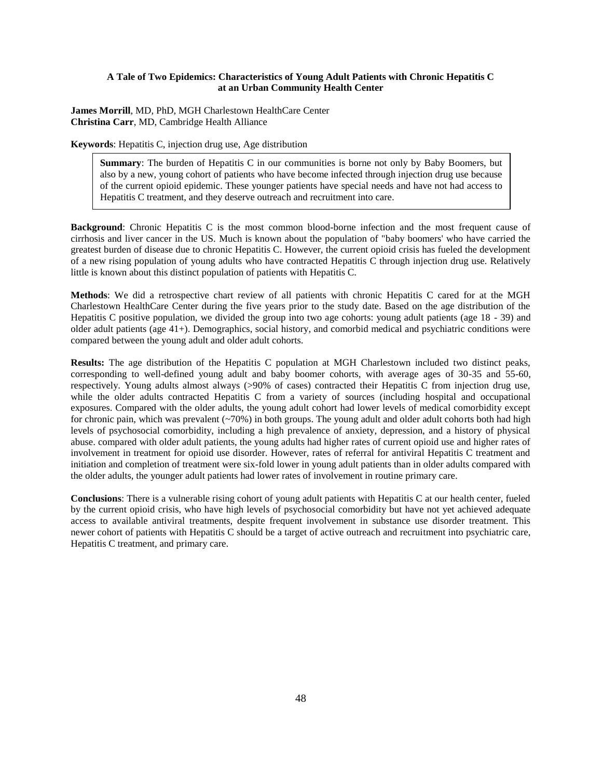# **A Tale of Two Epidemics: Characteristics of Young Adult Patients with Chronic Hepatitis C at an Urban Community Health Center**

**James Morrill**, MD, PhD, MGH Charlestown HealthCare Center **Christina Carr**, MD, Cambridge Health Alliance

**Keywords**: Hepatitis C, injection drug use, Age distribution

**Summary**: The burden of Hepatitis C in our communities is borne not only by Baby Boomers, but also by a new, young cohort of patients who have become infected through injection drug use because of the current opioid epidemic. These younger patients have special needs and have not had access to Hepatitis C treatment, and they deserve outreach and recruitment into care.

**Background**: Chronic Hepatitis C is the most common blood-borne infection and the most frequent cause of cirrhosis and liver cancer in the US. Much is known about the population of "baby boomers' who have carried the greatest burden of disease due to chronic Hepatitis C. However, the current opioid crisis has fueled the development of a new rising population of young adults who have contracted Hepatitis C through injection drug use. Relatively little is known about this distinct population of patients with Hepatitis C.

**Methods**: We did a retrospective chart review of all patients with chronic Hepatitis C cared for at the MGH Charlestown HealthCare Center during the five years prior to the study date. Based on the age distribution of the Hepatitis C positive population, we divided the group into two age cohorts: young adult patients (age 18 - 39) and older adult patients (age 41+). Demographics, social history, and comorbid medical and psychiatric conditions were compared between the young adult and older adult cohorts.

**Results:** The age distribution of the Hepatitis C population at MGH Charlestown included two distinct peaks, corresponding to well-defined young adult and baby boomer cohorts, with average ages of 30-35 and 55-60, respectively. Young adults almost always (>90% of cases) contracted their Hepatitis C from injection drug use, while the older adults contracted Hepatitis C from a variety of sources (including hospital and occupational exposures. Compared with the older adults, the young adult cohort had lower levels of medical comorbidity except for chronic pain, which was prevalent  $\left(\frac{20\%}{\sigma}\right)$  in both groups. The young adult and older adult cohorts both had high levels of psychosocial comorbidity, including a high prevalence of anxiety, depression, and a history of physical abuse. compared with older adult patients, the young adults had higher rates of current opioid use and higher rates of involvement in treatment for opioid use disorder. However, rates of referral for antiviral Hepatitis C treatment and initiation and completion of treatment were six-fold lower in young adult patients than in older adults compared with the older adults, the younger adult patients had lower rates of involvement in routine primary care.

**Conclusions**: There is a vulnerable rising cohort of young adult patients with Hepatitis C at our health center, fueled by the current opioid crisis, who have high levels of psychosocial comorbidity but have not yet achieved adequate access to available antiviral treatments, despite frequent involvement in substance use disorder treatment. This newer cohort of patients with Hepatitis C should be a target of active outreach and recruitment into psychiatric care, Hepatitis C treatment, and primary care.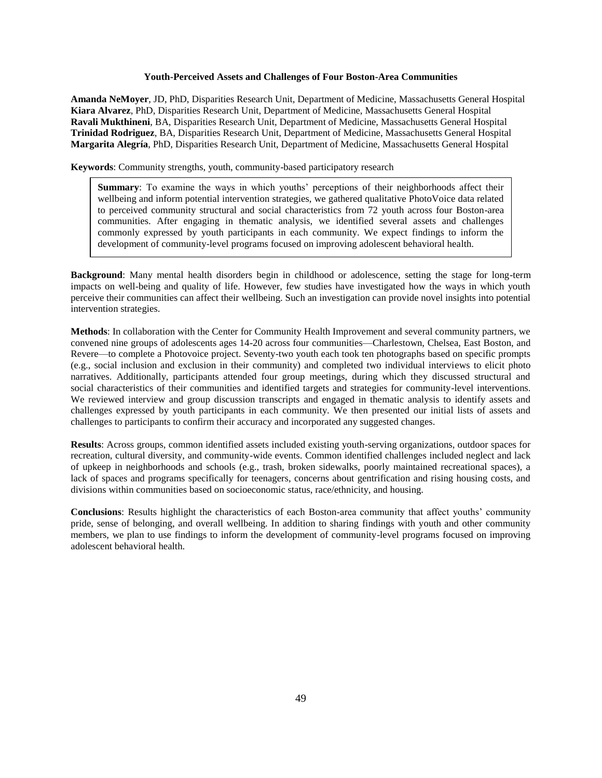## **Youth-Perceived Assets and Challenges of Four Boston-Area Communities**

**Amanda NeMoyer**, JD, PhD, Disparities Research Unit, Department of Medicine, Massachusetts General Hospital **Kiara Alvarez**, PhD, Disparities Research Unit, Department of Medicine, Massachusetts General Hospital **Ravali Mukthineni**, BA, Disparities Research Unit, Department of Medicine, Massachusetts General Hospital **Trinidad Rodriguez**, BA, Disparities Research Unit, Department of Medicine, Massachusetts General Hospital **Margarita Alegría**, PhD, Disparities Research Unit, Department of Medicine, Massachusetts General Hospital

**Keywords**: Community strengths, youth, community-based participatory research

**Summary**: To examine the ways in which youths' perceptions of their neighborhoods affect their wellbeing and inform potential intervention strategies, we gathered qualitative PhotoVoice data related to perceived community structural and social characteristics from 72 youth across four Boston-area communities. After engaging in thematic analysis, we identified several assets and challenges commonly expressed by youth participants in each community. We expect findings to inform the development of community-level programs focused on improving adolescent behavioral health.

**Background**: Many mental health disorders begin in childhood or adolescence, setting the stage for long-term impacts on well-being and quality of life. However, few studies have investigated how the ways in which youth perceive their communities can affect their wellbeing. Such an investigation can provide novel insights into potential intervention strategies.

**Methods**: In collaboration with the Center for Community Health Improvement and several community partners, we convened nine groups of adolescents ages 14-20 across four communities—Charlestown, Chelsea, East Boston, and Revere—to complete a Photovoice project. Seventy-two youth each took ten photographs based on specific prompts (e.g., social inclusion and exclusion in their community) and completed two individual interviews to elicit photo narratives. Additionally, participants attended four group meetings, during which they discussed structural and social characteristics of their communities and identified targets and strategies for community-level interventions. We reviewed interview and group discussion transcripts and engaged in thematic analysis to identify assets and challenges expressed by youth participants in each community. We then presented our initial lists of assets and challenges to participants to confirm their accuracy and incorporated any suggested changes.

**Results**: Across groups, common identified assets included existing youth-serving organizations, outdoor spaces for recreation, cultural diversity, and community-wide events. Common identified challenges included neglect and lack of upkeep in neighborhoods and schools (e.g., trash, broken sidewalks, poorly maintained recreational spaces), a lack of spaces and programs specifically for teenagers, concerns about gentrification and rising housing costs, and divisions within communities based on socioeconomic status, race/ethnicity, and housing.

**Conclusions**: Results highlight the characteristics of each Boston-area community that affect youths' community pride, sense of belonging, and overall wellbeing. In addition to sharing findings with youth and other community members, we plan to use findings to inform the development of community-level programs focused on improving adolescent behavioral health.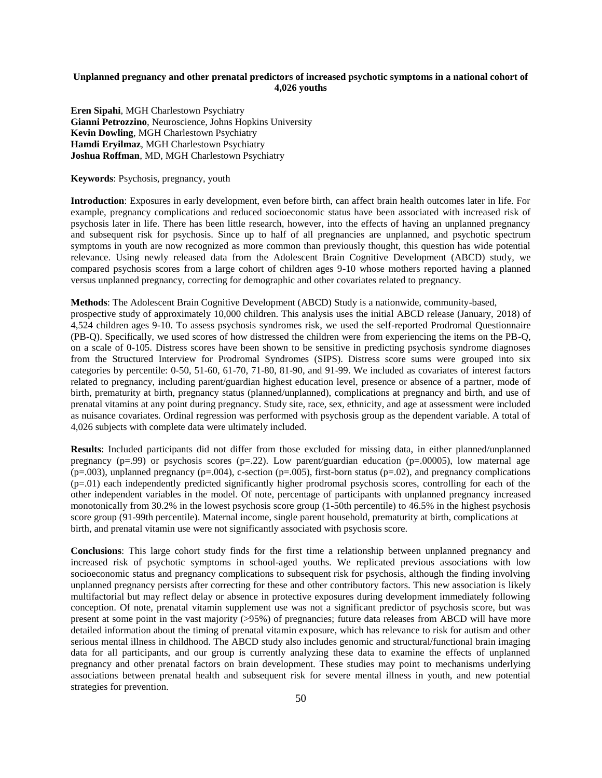# **Unplanned pregnancy and other prenatal predictors of increased psychotic symptoms in a national cohort of 4,026 youths**

**Eren Sipahi**, MGH Charlestown Psychiatry **Gianni Petrozzino**, Neuroscience, Johns Hopkins University **Kevin Dowling**, MGH Charlestown Psychiatry **Hamdi Eryilmaz**, MGH Charlestown Psychiatry **Joshua Roffman**, MD, MGH Charlestown Psychiatry

**Keywords**: Psychosis, pregnancy, youth

**Introduction**: Exposures in early development, even before birth, can affect brain health outcomes later in life. For example, pregnancy complications and reduced socioeconomic status have been associated with increased risk of psychosis later in life. There has been little research, however, into the effects of having an unplanned pregnancy and subsequent risk for psychosis. Since up to half of all pregnancies are unplanned, and psychotic spectrum symptoms in youth are now recognized as more common than previously thought, this question has wide potential relevance. Using newly released data from the Adolescent Brain Cognitive Development (ABCD) study, we compared psychosis scores from a large cohort of children ages 9-10 whose mothers reported having a planned versus unplanned pregnancy, correcting for demographic and other covariates related to pregnancy.

**Methods**: The Adolescent Brain Cognitive Development (ABCD) Study is a nationwide, community-based,

prospective study of approximately 10,000 children. This analysis uses the initial ABCD release (January, 2018) of 4,524 children ages 9-10. To assess psychosis syndromes risk, we used the self-reported Prodromal Questionnaire (PB-Q). Specifically, we used scores of how distressed the children were from experiencing the items on the PB-Q, on a scale of 0-105. Distress scores have been shown to be sensitive in predicting psychosis syndrome diagnoses from the Structured Interview for Prodromal Syndromes (SIPS). Distress score sums were grouped into six categories by percentile: 0-50, 51-60, 61-70, 71-80, 81-90, and 91-99. We included as covariates of interest factors related to pregnancy, including parent/guardian highest education level, presence or absence of a partner, mode of birth, prematurity at birth, pregnancy status (planned/unplanned), complications at pregnancy and birth, and use of prenatal vitamins at any point during pregnancy. Study site, race, sex, ethnicity, and age at assessment were included as nuisance covariates. Ordinal regression was performed with psychosis group as the dependent variable. A total of 4,026 subjects with complete data were ultimately included.

**Results**: Included participants did not differ from those excluded for missing data, in either planned/unplanned pregnancy  $(p=.99)$  or psychosis scores  $(p=.22)$ . Low parent/guardian education  $(p=.00005)$ , low maternal age  $(p=.003)$ , unplanned pregnancy  $(p=.004)$ , c-section  $(p=.005)$ , first-born status  $(p=.02)$ , and pregnancy complications (p=.01) each independently predicted significantly higher prodromal psychosis scores, controlling for each of the other independent variables in the model. Of note, percentage of participants with unplanned pregnancy increased monotonically from 30.2% in the lowest psychosis score group (1-50th percentile) to 46.5% in the highest psychosis score group (91-99th percentile). Maternal income, single parent household, prematurity at birth, complications at birth, and prenatal vitamin use were not significantly associated with psychosis score.

**Conclusions**: This large cohort study finds for the first time a relationship between unplanned pregnancy and increased risk of psychotic symptoms in school-aged youths. We replicated previous associations with low socioeconomic status and pregnancy complications to subsequent risk for psychosis, although the finding involving unplanned pregnancy persists after correcting for these and other contributory factors. This new association is likely multifactorial but may reflect delay or absence in protective exposures during development immediately following conception. Of note, prenatal vitamin supplement use was not a significant predictor of psychosis score, but was present at some point in the vast majority (>95%) of pregnancies; future data releases from ABCD will have more detailed information about the timing of prenatal vitamin exposure, which has relevance to risk for autism and other serious mental illness in childhood. The ABCD study also includes genomic and structural/functional brain imaging data for all participants, and our group is currently analyzing these data to examine the effects of unplanned pregnancy and other prenatal factors on brain development. These studies may point to mechanisms underlying associations between prenatal health and subsequent risk for severe mental illness in youth, and new potential strategies for prevention.